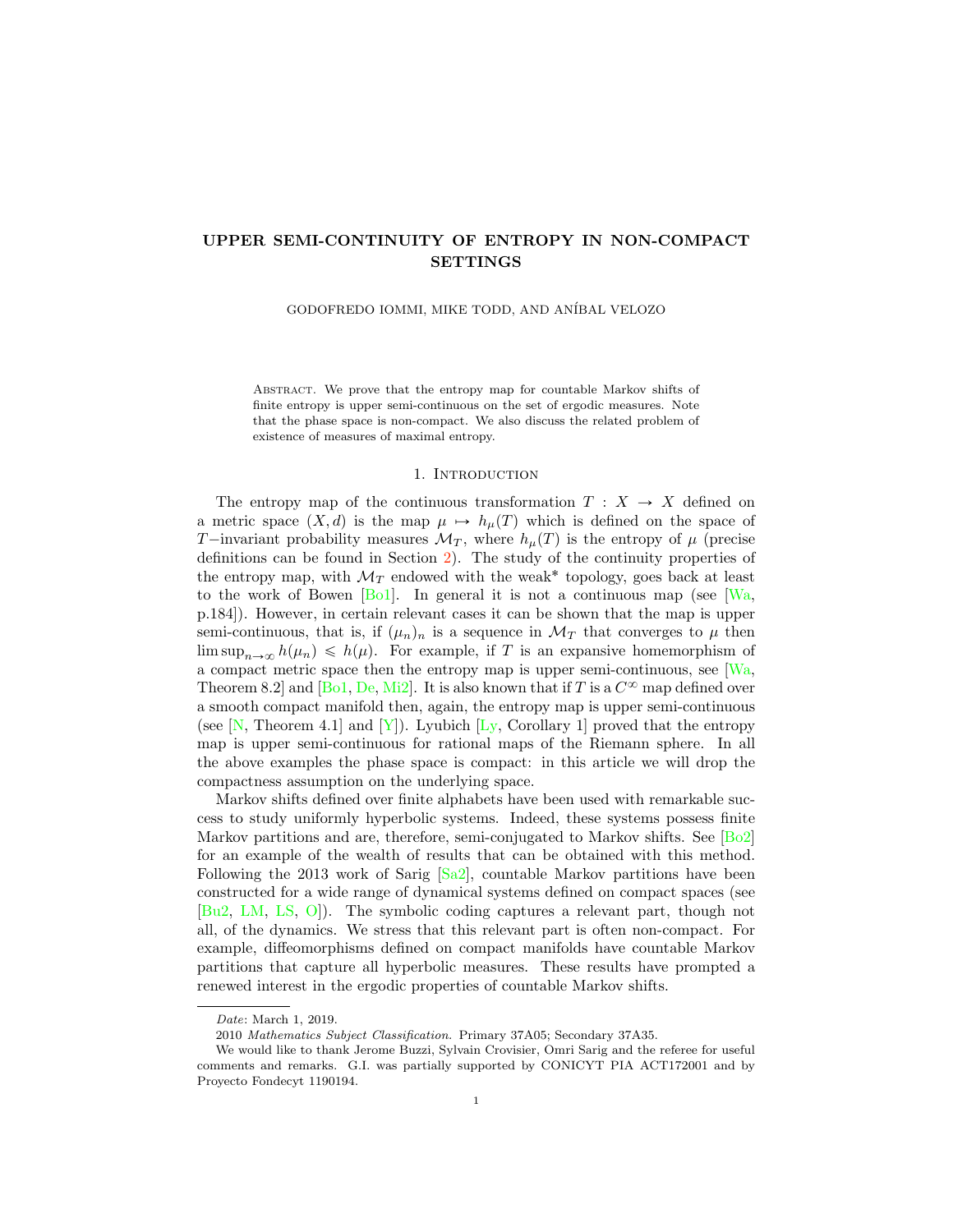# UPPER SEMI-CONTINUITY OF ENTROPY IN NON-COMPACT SETTINGS

GODOFREDO IOMMI, MIKE TODD, AND ANÍBAL VELOZO

Abstract. We prove that the entropy map for countable Markov shifts of finite entropy is upper semi-continuous on the set of ergodic measures. Note that the phase space is non-compact. We also discuss the related problem of existence of measures of maximal entropy.

#### 1. INTRODUCTION

The entropy map of the continuous transformation  $T : X \rightarrow X$  defined on a metric space  $(X, d)$  is the map  $\mu \mapsto h_{\mu}(T)$  which is defined on the space of T-invariant probability measures  $\mathcal{M}_T$ , where  $h_\mu(T)$  is the entropy of  $\mu$  (precise definitions can be found in Section [2\)](#page-2-0). The study of the continuity properties of the entropy map, with  $\mathcal{M}_T$  endowed with the weak<sup>\*</sup> topology, goes back at least to the work of Bowen  $[B_01]$ . In general it is not a continuous map (see [\[Wa,](#page-14-1) p.184]). However, in certain relevant cases it can be shown that the map is upper semi-continuous, that is, if  $(\mu_n)_n$  is a sequence in  $\mathcal{M}_T$  that converges to  $\mu$  then  $\limsup_{n\to\infty} h(\mu_n) \leq h(\mu)$ . For example, if T is an expansive homemorphism of a compact metric space then the entropy map is upper semi-continuous, see [\[Wa,](#page-14-1) Theorem 8.2] and [\[Bo1,](#page-13-0) [De,](#page-13-1) [Mi2\]](#page-14-2). It is also known that if T is a  $C^{\infty}$  map defined over a smooth compact manifold then, again, the entropy map is upper semi-continuous (see  $[N, Theorem 4.1]$  $[N, Theorem 4.1]$  and  $[Y]$ ). Lyubich  $[L_y, Corollary 1]$  proved that the entropy map is upper semi-continuous for rational maps of the Riemann sphere. In all the above examples the phase space is compact: in this article we will drop the compactness assumption on the underlying space.

Markov shifts defined over finite alphabets have been used with remarkable success to study uniformly hyperbolic systems. Indeed, these systems possess finite Markov partitions and are, therefore, semi-conjugated to Markov shifts. See [\[Bo2\]](#page-13-2) for an example of the wealth of results that can be obtained with this method. Following the 2013 work of Sarig  $\lceil$ Sa2 $\rceil$ , countable Markov partitions have been constructed for a wide range of dynamical systems defined on compact spaces (see [\[Bu2,](#page-13-3) [LM,](#page-14-7) [LS,](#page-14-8) [O\]](#page-14-0)). The symbolic coding captures a relevant part, though not all, of the dynamics. We stress that this relevant part is often non-compact. For example, diffeomorphisms defined on compact manifolds have countable Markov partitions that capture all hyperbolic measures. These results have prompted a renewed interest in the ergodic properties of countable Markov shifts.

Date: March 1, 2019.

<sup>2010</sup> Mathematics Subject Classification. Primary 37A05; Secondary 37A35.

We would like to thank Jerome Buzzi, Sylvain Crovisier, Omri Sarig and the referee for useful comments and remarks. G.I. was partially supported by CONICYT PIA ACT172001 and by Proyecto Fondecyt 1190194.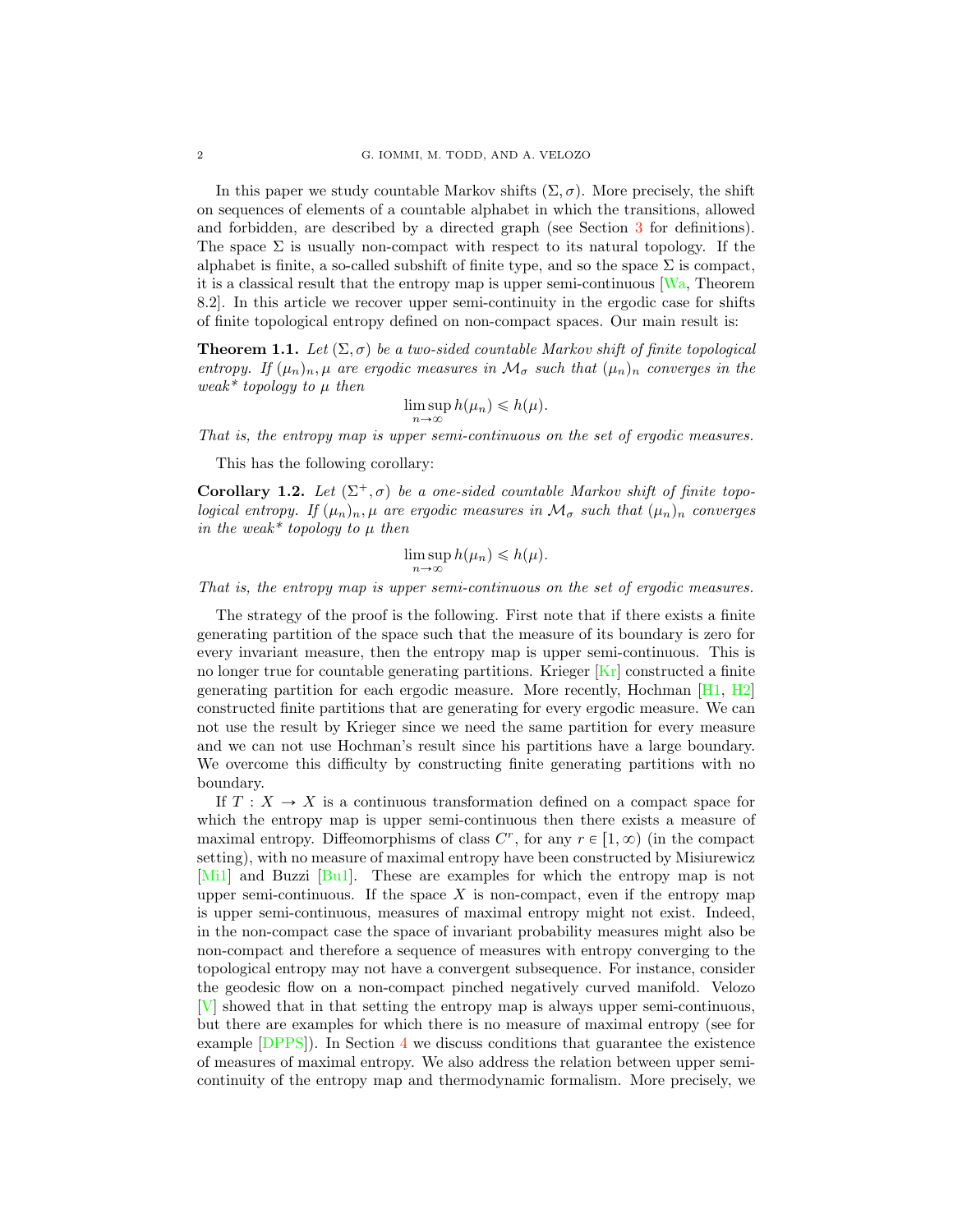In this paper we study countable Markov shifts  $(\Sigma, \sigma)$ . More precisely, the shift on sequences of elements of a countable alphabet in which the transitions, allowed and forbidden, are described by a directed graph (see Section [3](#page-5-0) for definitions). The space  $\Sigma$  is usually non-compact with respect to its natural topology. If the alphabet is finite, a so-called subshift of finite type, and so the space  $\Sigma$  is compact, it is a classical result that the entropy map is upper semi-continuous [\[Wa,](#page-14-1) Theorem 8.2]. In this article we recover upper semi-continuity in the ergodic case for shifts of finite topological entropy defined on non-compact spaces. Our main result is:

<span id="page-1-0"></span>**Theorem 1.1.** *Let*  $(\Sigma, \sigma)$  *be a two-sided countable Markov shift of finite topological entropy. If*  $(\mu_n)_n$ ,  $\mu$  *are ergodic measures in*  $\mathcal{M}_{\sigma}$  *such that*  $(\mu_n)_n$  *converges in the weak\* topology to* µ *then*

$$
\limsup_{n \to \infty} h(\mu_n) \leq h(\mu).
$$

*That is, the entropy map is upper semi-continuous on the set of ergodic measures.*

This has the following corollary:

<span id="page-1-1"></span>**Corollary 1.2.** Let  $(\Sigma^+, \sigma)$  be a one-sided countable Markov shift of finite topo*logical entropy. If*  $(\mu_n)_n$ ,  $\mu$  *are ergodic measures in*  $\mathcal{M}_{\sigma}$  *such that*  $(\mu_n)_n$  *converges in the weak\* topology to*  $\mu$  *then* 

$$
\limsup_{n\to\infty} h(\mu_n) \leq h(\mu).
$$

*That is, the entropy map is upper semi-continuous on the set of ergodic measures.*

The strategy of the proof is the following. First note that if there exists a finite generating partition of the space such that the measure of its boundary is zero for every invariant measure, then the entropy map is upper semi-continuous. This is no longer true for countable generating partitions. Krieger  $\overline{Kr}$  constructed a finite generating partition for each ergodic measure. More recently, Hochman  $[H1, H2]$  $[H1, H2]$  $[H1, H2]$ constructed finite partitions that are generating for every ergodic measure. We can not use the result by Krieger since we need the same partition for every measure and we can not use Hochman's result since his partitions have a large boundary. We overcome this difficulty by constructing finite generating partitions with no boundary.

If  $T : X \to X$  is a continuous transformation defined on a compact space for which the entropy map is upper semi-continuous then there exists a measure of maximal entropy. Diffeomorphisms of class  $C^r$ , for any  $r \in [1, \infty)$  (in the compact setting), with no measure of maximal entropy have been constructed by Misiurewicz [\[Mi1\]](#page-14-9) and Buzzi [\[Bu1\]](#page-13-7). These are examples for which the entropy map is not upper semi-continuous. If the space X is non-compact, even if the entropy map is upper semi-continuous, measures of maximal entropy might not exist. Indeed, in the non-compact case the space of invariant probability measures might also be non-compact and therefore a sequence of measures with entropy converging to the topological entropy may not have a convergent subsequence. For instance, consider the geodesic flow on a non-compact pinched negatively curved manifold. Velozo [\[V\]](#page-14-10) showed that in that setting the entropy map is always upper semi-continuous, but there are examples for which there is no measure of maximal entropy (see for example [\[DPPS\]](#page-13-8)). In Section [4](#page-10-0) we discuss conditions that guarantee the existence of measures of maximal entropy. We also address the relation between upper semicontinuity of the entropy map and thermodynamic formalism. More precisely, we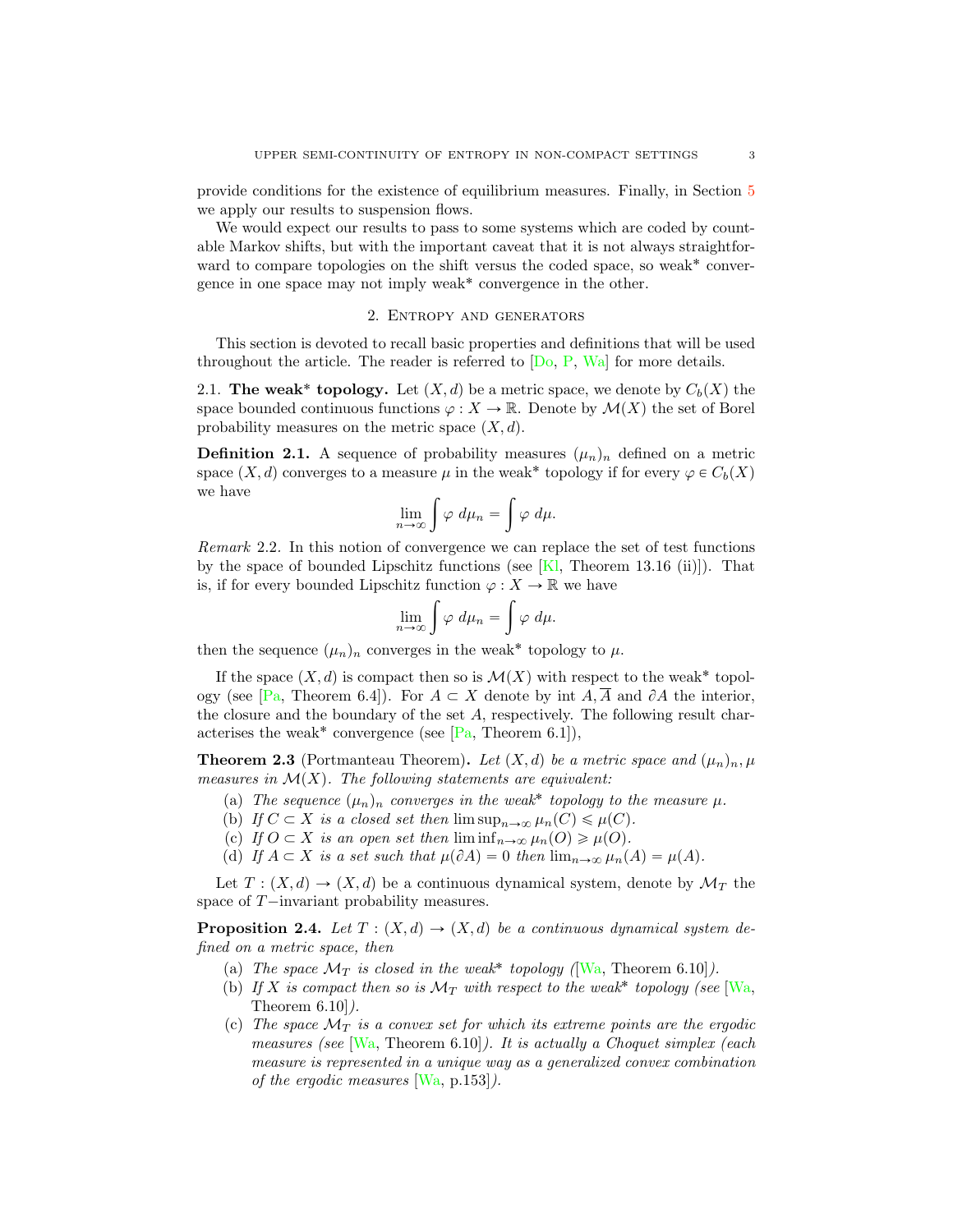provide conditions for the existence of equilibrium measures. Finally, in Section [5](#page-11-0) we apply our results to suspension flows.

We would expect our results to pass to some systems which are coded by countable Markov shifts, but with the important caveat that it is not always straightforward to compare topologies on the shift versus the coded space, so weak<sup>\*</sup> convergence in one space may not imply weak˚ convergence in the other.

### 2. Entropy and generators

<span id="page-2-0"></span>This section is devoted to recall basic properties and definitions that will be used throughout the article. The reader is referred to  $[D_0, P, Wa]$  $[D_0, P, Wa]$  $[D_0, P, Wa]$  $[D_0, P, Wa]$  for more details.

2.1. The weak\* topology. Let  $(X, d)$  be a metric space, we denote by  $C_b(X)$  the space bounded continuous functions  $\varphi: X \to \mathbb{R}$ . Denote by  $\mathcal{M}(X)$  the set of Borel probability measures on the metric space  $(X, d)$ .

**Definition 2.1.** A sequence of probability measures  $(\mu_n)_n$  defined on a metric space  $(X, d)$  converges to a measure  $\mu$  in the weak<sup>\*</sup> topology if for every  $\varphi \in C_b(X)$ we have

$$
\lim_{n\to\infty}\int\varphi\ d\mu_n=\int\varphi\ d\mu.
$$

<span id="page-2-1"></span>*Remark* 2.2*.* In this notion of convergence we can replace the set of test functions by the space of bounded Lipschitz functions (see  $[K]$ , Theorem 13.16 (ii)]). That is, if for every bounded Lipschitz function  $\varphi: X \to \mathbb{R}$  we have

$$
\lim_{n \to \infty} \int \varphi \, d\mu_n = \int \varphi \, d\mu.
$$

then the sequence  $(\mu_n)_n$  converges in the weak<sup>\*</sup> topology to  $\mu$ .

If the space  $(X, d)$  is compact then so is  $\mathcal{M}(X)$  with respect to the weak<sup>\*</sup> topol-ogy (see [\[Pa,](#page-14-12) Theorem 6.4]). For  $A \subset X$  denote by int  $A, \overline{A}$  and  $\partial A$  the interior, the closure and the boundary of the set A, respectively. The following result characterises the weak<sup>\*</sup> convergence (see  $[Pa, Theorem 6.1]$  $[Pa, Theorem 6.1]$ ),

**Theorem 2.3** (Portmanteau Theorem). Let  $(X, d)$  be a metric space and  $(\mu_n)_n, \mu$ *measures in*  $\mathcal{M}(X)$ *. The following statements are equivalent:* 

- (a) The sequence  $(\mu_n)_n$  converges in the weak<sup>\*</sup> topology to the measure  $\mu$ .
- (b) *If*  $C \subset X$  *is a closed set then*  $\limsup_{n\to\infty} \mu_n(C) \leq \mu(C)$ *.*
- (c) *If*  $O \subset X$  *is an open set then*  $\liminf_{n \to \infty} \mu_n(O) \geq \mu(O)$ *.*
- (d) If  $A \subset X$  is a set such that  $\mu(\partial A) = 0$  then  $\lim_{n \to \infty} \mu_n(A) = \mu(A)$ .

Let  $T : (X, d) \to (X, d)$  be a continuous dynamical system, denote by  $\mathcal{M}_T$  the space of  $T$ -invariant probability measures.

**Proposition 2.4.** *Let*  $T : (X, d) \rightarrow (X, d)$  *be a continuous dynamical system defined on a metric space, then*

- (a) *The space*  $\mathcal{M}_T$  *is closed in the weak*<sup>\*</sup> *topology* ( $[\text{Wa}, \text{Theorem 6.10}].$
- (b) If X is compact then so is  $\mathcal{M}_T$  with respect to the weak<sup>\*</sup> topology (see [\[Wa,](#page-14-1) Theorem 6.10]*).*
- (c) The space  $\mathcal{M}_T$  is a convex set for which its extreme points are the ergodic *measures (see* [\[Wa,](#page-14-1) Theorem 6.10]*). It is actually a Choquet simplex (each measure is represented in a unique way as a generalized convex combination of the ergodic measures* [\[Wa,](#page-14-1) p.153]*).*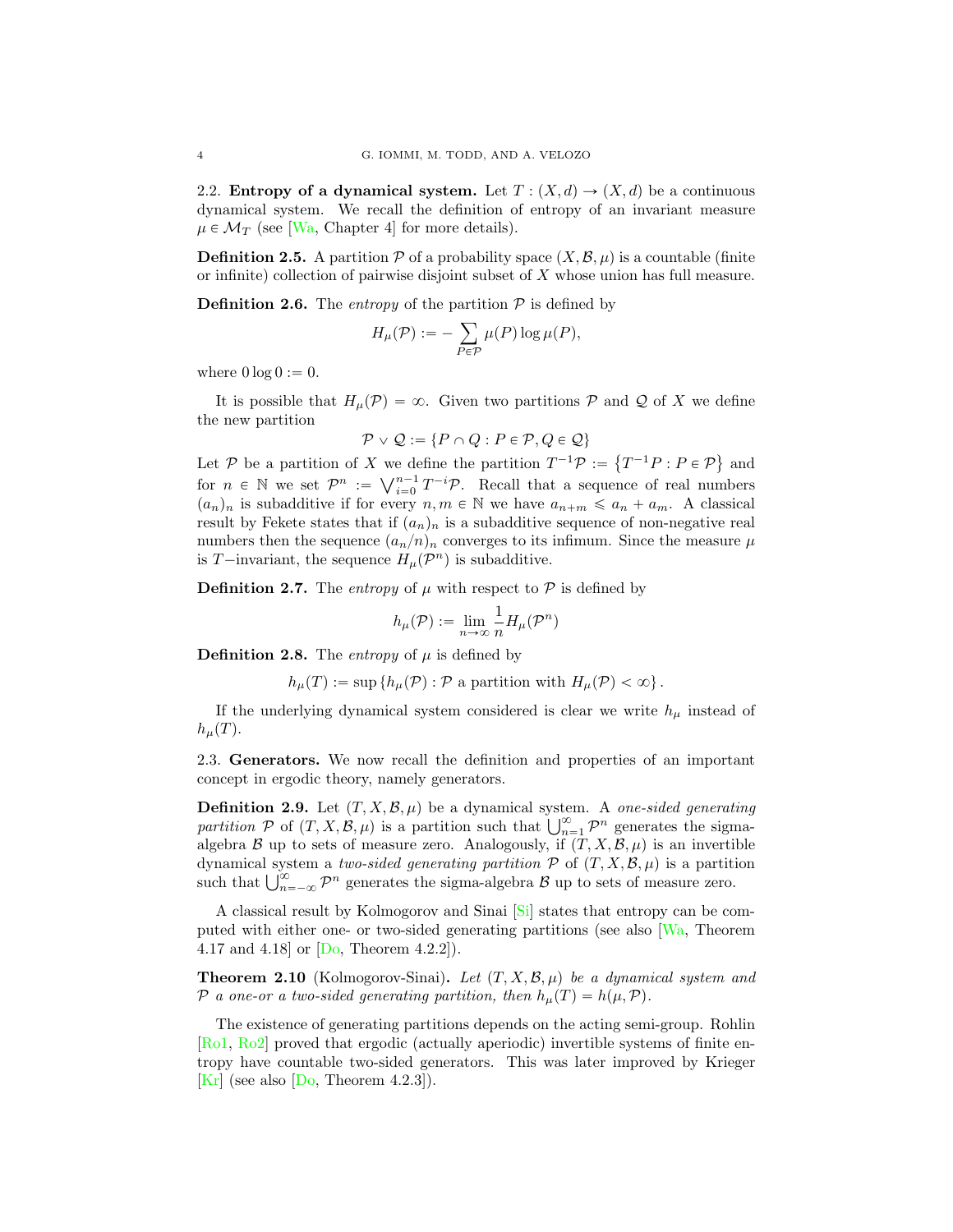2.2. Entropy of a dynamical system. Let  $T : (X, d) \rightarrow (X, d)$  be a continuous dynamical system. We recall the definition of entropy of an invariant measure  $\mu \in \mathcal{M}_T$  (see [\[Wa,](#page-14-1) Chapter 4] for more details).

**Definition 2.5.** A partition  $P$  of a probability space  $(X, \mathcal{B}, \mu)$  is a countable (finite or infinite) collection of pairwise disjoint subset of X whose union has full measure.

**Definition 2.6.** The *entropy* of the partition  $P$  is defined by

$$
H_{\mu}(\mathcal{P}) := -\sum_{P \in \mathcal{P}} \mu(P) \log \mu(P),
$$

where  $0 \log 0 := 0$ .

It is possible that  $H_\mu(\mathcal{P}) = \infty$ . Given two partitions  $\mathcal P$  and  $\mathcal Q$  of X we define the new partition

$$
\mathcal{P} \vee \mathcal{Q} := \{ P \cap Q : P \in \mathcal{P}, Q \in \mathcal{Q} \}
$$

Let *P* be a partition of *X* we define the partition  $T^{-1}\mathcal{P} := \{T^{-1}P : P \in \mathcal{P}\}\$ and for  $n \in \mathbb{N}$  we set  $\mathcal{P}^n := \bigvee_{i=0}^{n-1} T^{-i} \mathcal{P}$ . Recall that a sequence of real numbers  $(a_n)_n$  is subadditive if for every  $n, m \in \mathbb{N}$  we have  $a_{n+m} \leq a_n + a_m$ . A classical result by Fekete states that if  $(a_n)_n$  is a subadditive sequence of non-negative real numbers then the sequence  $(a_n/n)_n$  converges to its infimum. Since the measure  $\mu$ is T-invariant, the sequence  $H_{\mu}(\mathcal{P}^n)$  is subadditive.

**Definition 2.7.** The *entropy* of  $\mu$  with respect to  $\mathcal{P}$  is defined by

$$
h_{\mu}(\mathcal{P}) := \lim_{n \to \infty} \frac{1}{n} H_{\mu}(\mathcal{P}^n)
$$

**Definition 2.8.** The *entropy* of  $\mu$  is defined by

 $h_\mu(T) := \sup \{ h_\mu(\mathcal{P}) : \mathcal{P} \text{ a partition with } H_\mu(\mathcal{P}) < \infty \}.$ 

If the underlying dynamical system considered is clear we write  $h_{\mu}$  instead of  $h_\mu(T)$ .

2.3. Generators. We now recall the definition and properties of an important concept in ergodic theory, namely generators.

**Definition 2.9.** Let  $(T, X, \mathcal{B}, \mu)$  be a dynamical system. A *one-sided generating partition*  $\mathcal P$  of  $(T, X, \mathcal B, \mu)$  is a partition such that  $\bigcup_{n=1}^{\infty} \mathcal P^n$  generates the sigmaalgebra *B* up to sets of measure zero. Analogously, if  $(T, X, \mathcal{B}, \mu)$  is an invertible dynamical system a *two-sided generating partition*  $P$  of  $(T, X, \mathcal{B}, \mu)$  is a partition such that  $\bigcup_{n=-\infty}^{\infty} \mathcal{P}^n$  generates the sigma-algebra  $\mathcal{B}$  up to sets of measure zero.

A classical result by Kolmogorov and Sinai [\[Si\]](#page-14-13) states that entropy can be computed with either one- or two-sided generating partitions (see also [\[Wa,](#page-14-1) Theorem 4.17 and 4.18] or [\[Do,](#page-13-9) Theorem 4.2.2]).

**Theorem 2.10** (Kolmogorov-Sinai). Let  $(T, X, \mathcal{B}, \mu)$  be a dynamical system and *P a* one-or a two-sided generating partition, then  $h_\mu(T) = h(\mu, \mathcal{P})$ .

The existence of generating partitions depends on the acting semi-group. Rohlin [\[Ro1,](#page-14-14) [Ro2\]](#page-14-15) proved that ergodic (actually aperiodic) invertible systems of finite entropy have countable two-sided generators. This was later improved by Krieger [\[Kr\]](#page-13-4) (see also  $[D<sub>o</sub>, Theorem 4.2.3$ ]).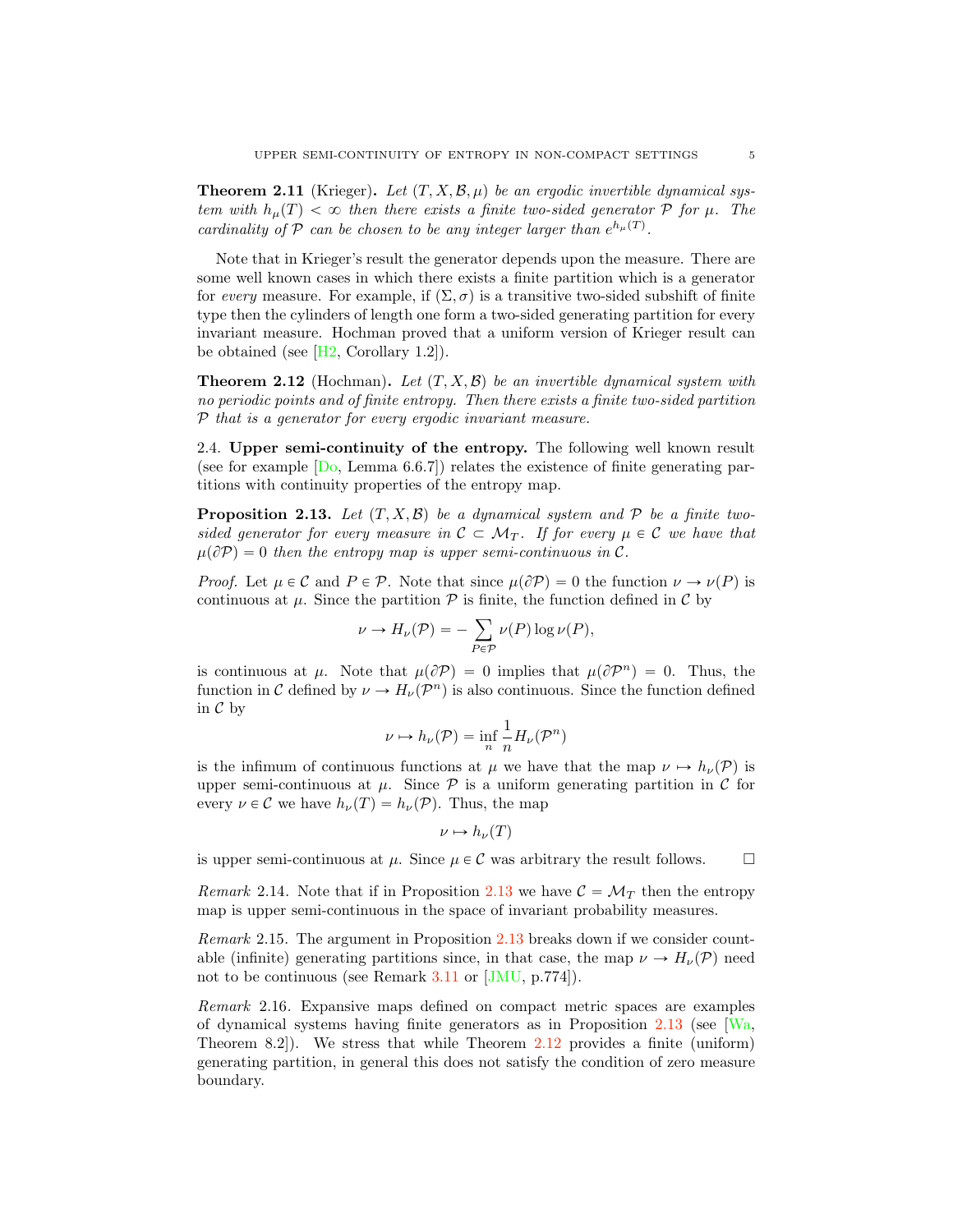**Theorem 2.11** (Krieger). Let  $(T, X, \mathcal{B}, \mu)$  be an ergodic invertible dynamical sys*tem with*  $h<sub>\mu</sub>(T) < \infty$  *then there exists a finite two-sided generator*  $P$  *for*  $\mu$ *. The cardinality of*  $P$  *can be chosen to be any integer larger than*  $e^{h_{\mu}(T)}$ .

Note that in Krieger's result the generator depends upon the measure. There are some well known cases in which there exists a finite partition which is a generator for *every* measure. For example, if  $(\Sigma, \sigma)$  is a transitive two-sided subshift of finite type then the cylinders of length one form a two-sided generating partition for every invariant measure. Hochman proved that a uniform version of Krieger result can be obtained (see  $[H2, Corollary 1.2]$  $[H2, Corollary 1.2]$ ).

<span id="page-4-0"></span>**Theorem 2.12** (Hochman). Let  $(T, X, \mathcal{B})$  be an invertible dynamical system with *no periodic points and of finite entropy. Then there exists a finite two-sided partition P that is a generator for every ergodic invariant measure.*

2.4. Upper semi-continuity of the entropy. The following well known result (see for example  $[D_0, \text{Lemma 6.6.7}]$ ) relates the existence of finite generating partitions with continuity properties of the entropy map.

<span id="page-4-1"></span>**Proposition 2.13.** Let  $(T, X, \mathcal{B})$  be a dynamical system and P be a finite two*sided generator for every measure in*  $C \subset \mathcal{M}_T$ . If for every  $\mu \in C$  we have that  $\mu(\partial P) = 0$  then the entropy map is upper semi-continuous in C.

*Proof.* Let  $\mu \in \mathcal{C}$  and  $P \in \mathcal{P}$ . Note that since  $\mu(\partial P) = 0$  the function  $\nu \to \nu(P)$  is continuous at  $\mu$ . Since the partition  $\mathcal P$  is finite, the function defined in  $\mathcal C$  by

$$
\nu \to H_{\nu}(P) = -\sum_{P \in \mathcal{P}} \nu(P) \log \nu(P),
$$

is continuous at  $\mu$ . Note that  $\mu(\partial P) = 0$  implies that  $\mu(\partial P^n) = 0$ . Thus, the function in *C* defined by  $\nu \to H_{\nu}(P^n)$  is also continuous. Since the function defined in *C* by

$$
\nu \mapsto h_{\nu}(\mathcal{P}) = \inf_{n} \frac{1}{n} H_{\nu}(\mathcal{P}^{n})
$$

is the infimum of continuous functions at  $\mu$  we have that the map  $\nu \mapsto h_{\nu}(P)$  is upper semi-continuous at  $\mu$ . Since  $\mathcal P$  is a uniform generating partition in  $\mathcal C$  for every  $\nu \in \mathcal{C}$  we have  $h_{\nu}(T) = h_{\nu}(P)$ . Thus, the map

$$
\nu\mapsto h_\nu(T)
$$

is upper semi-continuous at  $\mu$ . Since  $\mu \in \mathcal{C}$  was arbitrary the result follows.  $\Box$ 

*Remark* 2.14. Note that if in Proposition [2.13](#page-4-1) we have  $\mathcal{C} = \mathcal{M}_T$  then the entropy map is upper semi-continuous in the space of invariant probability measures.

*Remark* 2.15*.* The argument in Proposition [2.13](#page-4-1) breaks down if we consider countable (infinite) generating partitions since, in that case, the map  $\nu \to H_{\nu}(P)$  need not to be continuous (see Remark [3.11](#page-9-0) or [\[JMU,](#page-13-11) p.774]).

*Remark* 2.16*.* Expansive maps defined on compact metric spaces are examples of dynamical systems having finite generators as in Proposition  $2.13$  (see [\[Wa,](#page-14-1) Theorem 8.2]). We stress that while Theorem [2.12](#page-4-0) provides a finite (uniform) generating partition, in general this does not satisfy the condition of zero measure boundary.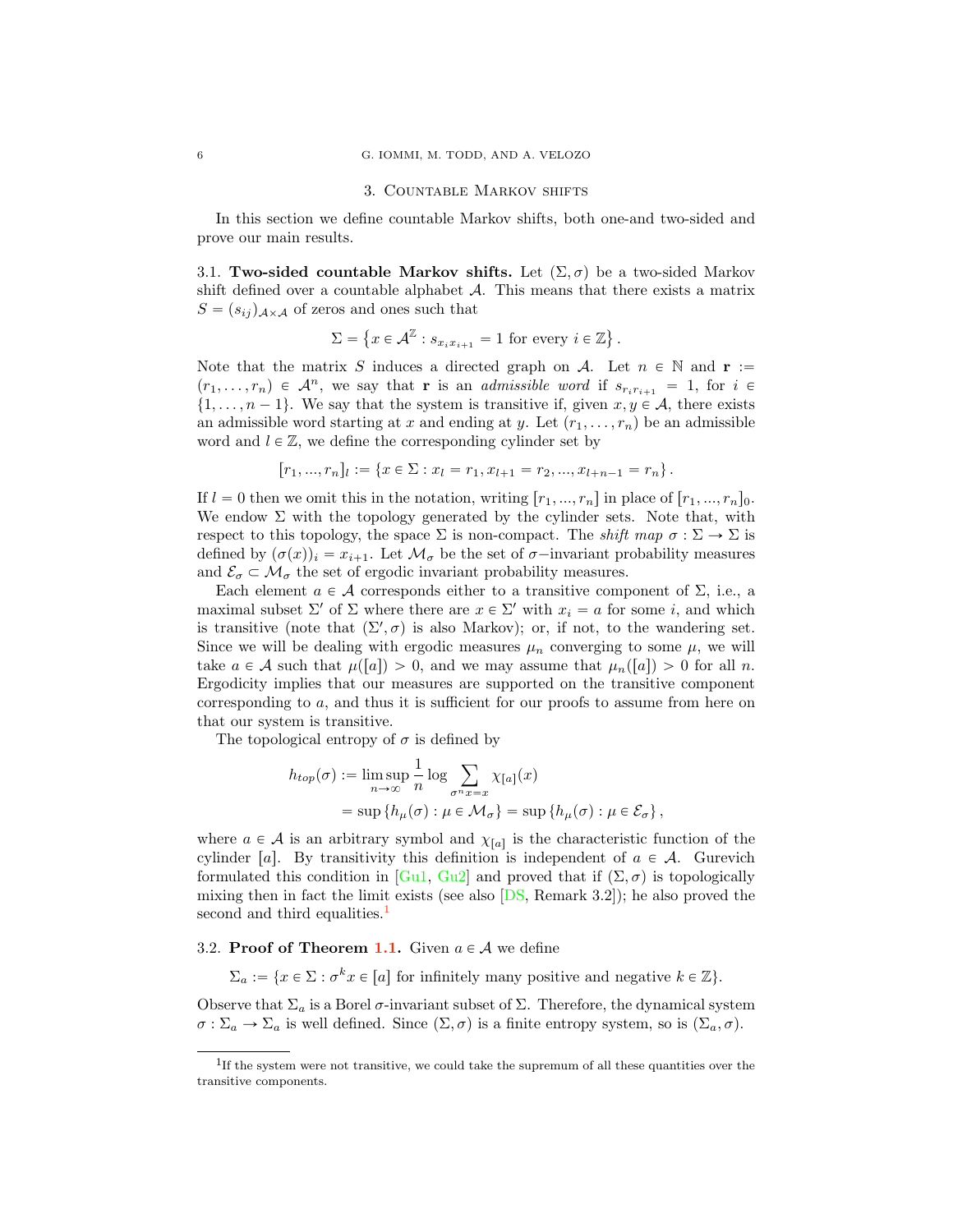#### 3. Countable Markov shifts

<span id="page-5-0"></span>In this section we define countable Markov shifts, both one-and two-sided and prove our main results.

3.1. Two-sided countable Markov shifts. Let  $(\Sigma, \sigma)$  be a two-sided Markov shift defined over a countable alphabet *A*. This means that there exists a matrix  $S = (s_{ij})_{A \times A}$  of zeros and ones such that

$$
\Sigma = \left\{ x \in \mathcal{A}^{\mathbb{Z}} : s_{x_i x_{i+1}} = 1 \text{ for every } i \in \mathbb{Z} \right\}.
$$

Note that the matrix S induces a directed graph on A. Let  $n \in \mathbb{N}$  and  $r :=$  $p_1, \ldots, r_n) \in \mathcal{A}^n$ , we say that **r** is an *admissible word* if  $s_{r_i r_{i+1}} = 1$ , for  $i \in$  $\{1, \ldots, n-1\}$ . We say that the system is transitive if, given  $x, y \in A$ , there exists an admissible word starting at x and ending at y. Let  $(r_1, \ldots, r_n)$  be an admissible word and  $l \in \mathbb{Z}$ , we define the corresponding cylinder set by

$$
[r_1, ..., r_n]_l := \{x \in \Sigma : x_l = r_1, x_{l+1} = r_2, ..., x_{l+n-1} = r_n\}.
$$

If  $l = 0$  then we omit this in the notation, writing  $[r_1, ..., r_n]$  in place of  $[r_1, ..., r_n]_0$ . We endow  $\Sigma$  with the topology generated by the cylinder sets. Note that, with respect to this topology, the space  $\Sigma$  is non-compact. The *shift map*  $\sigma : \Sigma \to \Sigma$  is defined by  $(\sigma(x))_i = x_{i+1}$ . Let  $\mathcal{M}_{\sigma}$  be the set of  $\sigma$ -invariant probability measures and  $\mathcal{E}_{\sigma} \subset \mathcal{M}_{\sigma}$  the set of ergodic invariant probability measures.

Each element  $a \in \mathcal{A}$  corresponds either to a transitive component of  $\Sigma$ , i.e., a maximal subset  $\Sigma'$  of  $\Sigma$  where there are  $x \in \Sigma'$  with  $x_i = a$  for some i, and which is transitive (note that  $(\Sigma', \sigma)$  is also Markov); or, if not, to the wandering set. Since we will be dealing with ergodic measures  $\mu_n$  converging to some  $\mu$ , we will take  $a \in \mathcal{A}$  such that  $\mu([a]) > 0$ , and we may assume that  $\mu_n([a]) > 0$  for all n. Ergodicity implies that our measures are supported on the transitive component corresponding to  $a$ , and thus it is sufficient for our proofs to assume from here on that our system is transitive.

The topological entropy of  $\sigma$  is defined by

$$
h_{top}(\sigma) := \limsup_{n \to \infty} \frac{1}{n} \log \sum_{\sigma^n x = x} \chi_{[a]}(x)
$$
  
= 
$$
\sup \{ h_\mu(\sigma) : \mu \in \mathcal{M}_\sigma \} = \sup \{ h_\mu(\sigma) : \mu \in \mathcal{E}_\sigma \},
$$

where  $a \in \mathcal{A}$  is an arbitrary symbol and  $\chi_{[a]}$  is the characteristic function of the cylinder [a]. By transitivity this definition is independent of  $a \in \mathcal{A}$ . Gurevich formulated this condition in [\[Gu1,](#page-13-12) [Gu2\]](#page-13-13) and proved that if  $(\Sigma, \sigma)$  is topologically mixing then in fact the limit exists (see also [\[DS,](#page-13-14) Remark 3.2]); he also proved the second and third equalities.<sup>[1](#page-5-1)</sup>

## 3.2. **Proof of Theorem [1.1.](#page-1-0)** Given  $a \in \mathcal{A}$  we define

 $\Sigma_a := \{x \in \Sigma : \sigma^k x \in [a] \text{ for infinitely many positive and negative } k \in \mathbb{Z}\}.$ 

Observe that  $\Sigma_a$  is a Borel  $\sigma$ -invariant subset of  $\Sigma$ . Therefore, the dynamical system  $\sigma : \Sigma_a \to \Sigma_a$  is well defined. Since  $(\Sigma, \sigma)$  is a finite entropy system, so is  $(\Sigma_a, \sigma)$ .

<span id="page-5-1"></span><sup>&</sup>lt;sup>1</sup>If the system were not transitive, we could take the supremum of all these quantities over the transitive components.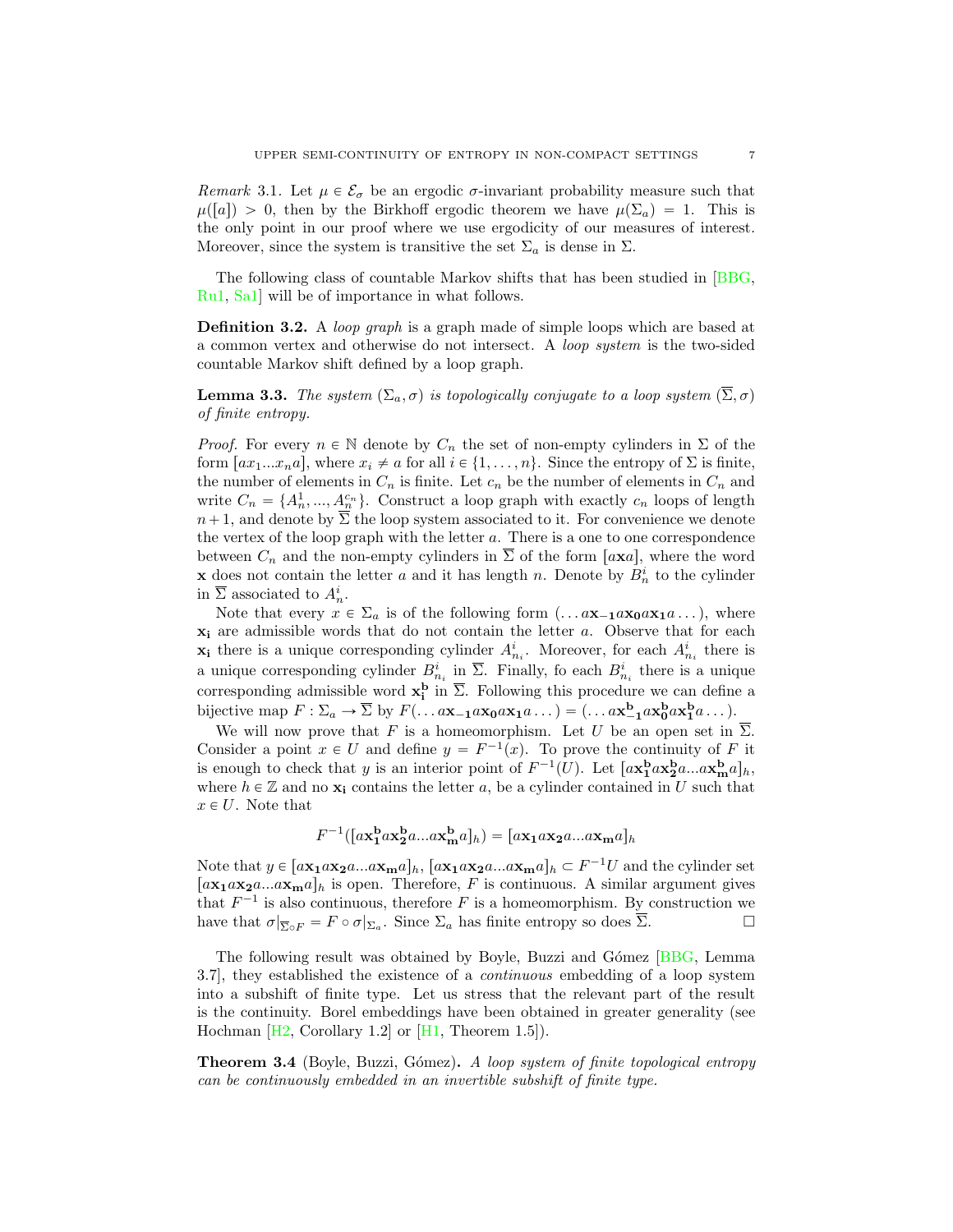<span id="page-6-0"></span>*Remark* 3.1. Let  $\mu \in \mathcal{E}_{\sigma}$  be an ergodic  $\sigma$ -invariant probability measure such that  $\mu([a]) > 0$ , then by the Birkhoff ergodic theorem we have  $\mu(\Sigma_a) = 1$ . This is the only point in our proof where we use ergodicity of our measures of interest. Moreover, since the system is transitive the set  $\Sigma_a$  is dense in  $\Sigma$ .

The following class of countable Markov shifts that has been studied in [\[BBG,](#page-13-15) [Ru1,](#page-14-16) [Sa1\]](#page-14-17) will be of importance in what follows.

Definition 3.2. A *loop graph* is a graph made of simple loops which are based at a common vertex and otherwise do not intersect. A *loop system* is the two-sided countable Markov shift defined by a loop graph.

<span id="page-6-1"></span>**Lemma 3.3.** *The system*  $(\Sigma_a, \sigma)$  *is topologically conjugate to a loop system*  $(\overline{\Sigma}, \sigma)$ *of finite entropy.*

*Proof.* For every  $n \in \mathbb{N}$  denote by  $C_n$  the set of non-empty cylinders in  $\Sigma$  of the form  $\lceil ax_1...x_na_r \rceil$ , where  $x_i \neq a$  for all  $i \in \{1, ..., n\}$ . Since the entropy of  $\Sigma$  is finite, the number of elements in  $C_n$  is finite. Let  $c_n$  be the number of elements in  $C_n$  and write  $C_n = \{A_n^1, ..., A_n^{c_n}\}$ . Construct a loop graph with exactly  $c_n$  loops of length  $n+1$ , and denote by  $\overline{\Sigma}$  the loop system associated to it. For convenience we denote the vertex of the loop graph with the letter  $a$ . There is a one to one correspondence between  $C_n$  and the non-empty cylinders in  $\overline{\Sigma}$  of the form  $[a \mathbf{x} a]$ , where the word **x** does not contain the letter a and it has length n. Denote by  $B_n^i$  to the cylinder in  $\overline{\Sigma}$  associated to  $A_n^i$ .

Note that every  $x \in \Sigma_a$  is of the following form  $(\dots a\mathbf{x}_{-1}a\mathbf{x}_0a\mathbf{x}_1a\dots)$ , where  $x_i$  are admissible words that do not contain the letter a. Observe that for each  $\mathbf{x}_i$  there is a unique corresponding cylinder  $A_{n_i}^i$ . Moreover, for each  $A_{n_i}^i$  there is a unique corresponding cylinder  $B_{n_i}^i$  in  $\overline{\Sigma}$ . Finally, fo each  $B_{n_i}^i$  there is a unique corresponding admissible word  $\mathbf{x}_i^{\mathbf{b}}$  in  $\overline{\Sigma}$ . Following this procedure we can define a bijective map  $F : \Sigma_a \to \overline{\Sigma}$  by  $F(\dots a\mathbf{x}_{-1}a\mathbf{x_0}a\mathbf{x_1}a\dots) = (\dots a\mathbf{x}_{-1}^{\mathbf{b}}a\mathbf{x}_0^{\mathbf{b}}a\mathbf{x}_1^{\mathbf{b}}a\dots)$ .

We will now prove that F is a homeomorphism. Let U be an open set in  $\overline{\Sigma}$ . Consider a point  $x \in U$  and define  $y = F^{-1}(x)$ . To prove the continuity of F it is enough to check that y is an interior point of  $F^{-1}(U)$ . Let  $[a\mathbf{x}_1^{\mathbf{b}}a\mathbf{x}_2^{\mathbf{b}}a...a\mathbf{x}_m^{\mathbf{b}}a]_h$ , where  $h \in \mathbb{Z}$  and no  $\mathbf{x}_i$  contains the letter a, be a cylinder contained in U such that  $x \in U$ . Note that

$$
F^{-1}([\mathbf{ax_1^b}a\mathbf{x_2^b}a...a\mathbf{x_m^b}a]_h) = [\mathbf{ax_1}a\mathbf{x_2}a...a\mathbf{x_m}a]_h
$$

Note that  $y \in [a\mathbf{x_1}a\mathbf{x_2}a...a\mathbf{x_m}a]_h$ ,  $[a\mathbf{x_1}a\mathbf{x_2}a...a\mathbf{x_m}a]_h \subset F^{-1}U$  and the cylinder set  $[a\mathbf{x}_1a\mathbf{x}_2a...a\mathbf{x}_ma]_h$  is open. Therefore, F is continuous. A similar argument gives that  $F^{-1}$  is also continuous, therefore F is a homeomorphism. By construction we have that  $\sigma|_{\overline{\Sigma}_0 F} = F \circ \sigma|_{\Sigma_a}$ . Since  $\Sigma_a$  has finite entropy so does  $\Sigma$ .

The following result was obtained by Boyle, Buzzi and Gómez [\[BBG,](#page-13-15) Lemma] 3.7], they established the existence of a *continuous* embedding of a loop system into a subshift of finite type. Let us stress that the relevant part of the result is the continuity. Borel embeddings have been obtained in greater generality (see Hochman  $[H2, Corollary 1.2]$  $[H2, Corollary 1.2]$  or  $[H1, Theorem 1.5]$  $[H1, Theorem 1.5]$ .

<span id="page-6-2"></span>Theorem 3.4 (Boyle, Buzzi, G´omez). *A loop system of finite topological entropy can be continuously embedded in an invertible subshift of finite type.*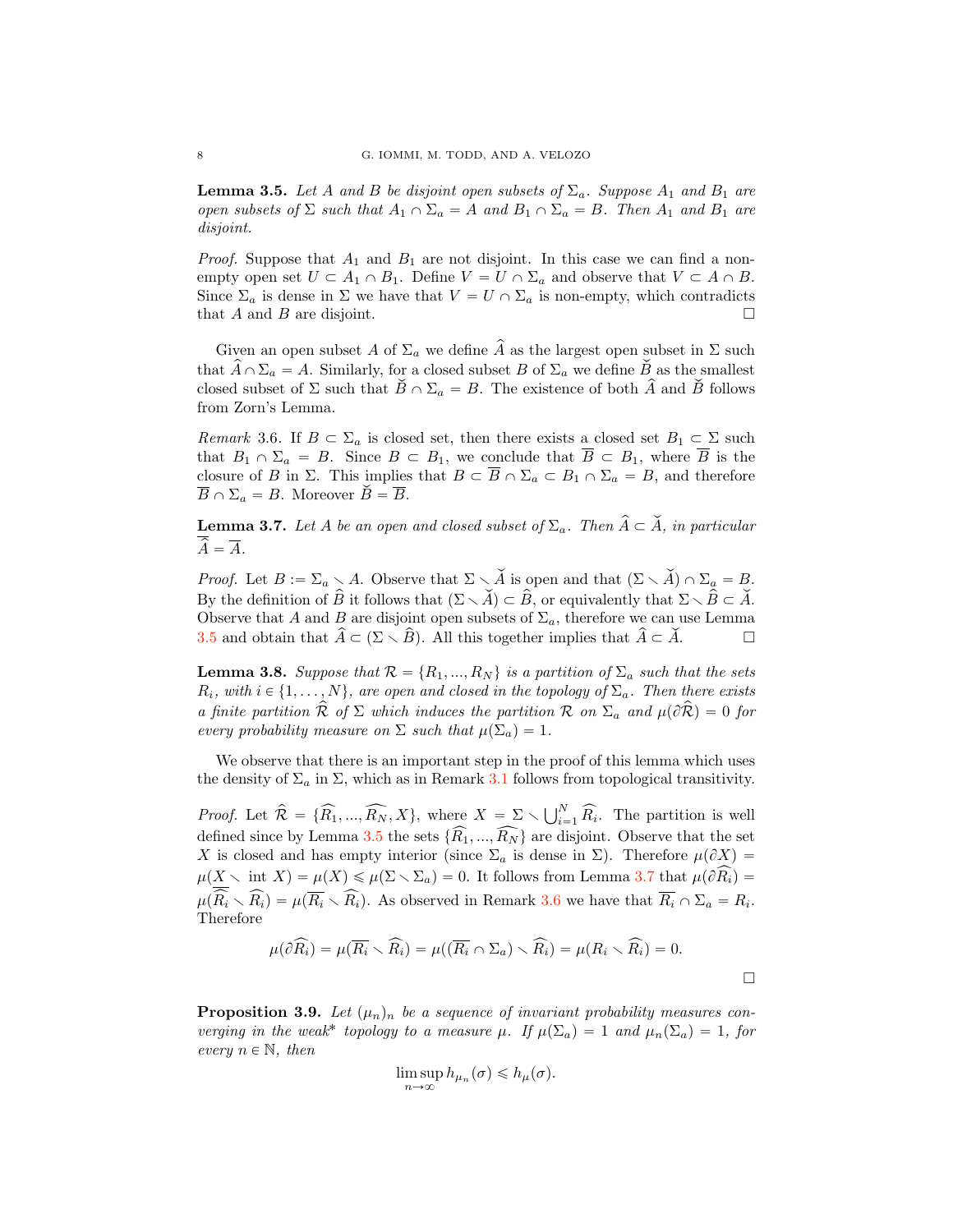<span id="page-7-1"></span>**Lemma 3.5.** Let A and B be disjoint open subsets of  $\Sigma_a$ . Suppose  $A_1$  and  $B_1$  are *open subsets of*  $\Sigma$  *such that*  $A_1 \cap \Sigma_a = A$  *and*  $B_1 \cap \Sigma_a = B$ *. Then*  $A_1$  *and*  $B_1$  *are disjoint.*

*Proof.* Suppose that  $A_1$  and  $B_1$  are not disjoint. In this case we can find a nonempty open set  $U \subset A_1 \cap B_1$ . Define  $V = U \cap \Sigma_a$  and observe that  $V \subset A \cap B$ . Since  $\Sigma_a$  is dense in  $\Sigma$  we have that  $V = U \cap \Sigma_a$  is non-empty, which contradicts that A and B are disjoint. that  $A$  and  $B$  are disjoint.

Given an open subset A of  $\Sigma_a$  we define  $\widehat{A}$  as the largest open subset in  $\Sigma$  such that  $\hat{A} \cap \Sigma_a = A$ . Similarly, for a closed subset B of  $\Sigma_a$  we define B as the smallest closed subset of  $\Sigma$  such that  $\check{B} \cap \Sigma_a = B$ . The existence of both  $\hat{A}$  and  $\check{B}$  follows from Zorn's Lemma.

<span id="page-7-0"></span>*Remark* 3.6. If  $B \subset \Sigma_a$  is closed set, then there exists a closed set  $B_1 \subset \Sigma$  such that  $B_1 \cap \Sigma_a = B$ . Since  $B \subset B_1$ , we conclude that  $\overline{B} \subset B_1$ , where  $\overline{B}$  is the closure of B in  $\Sigma$ . This implies that  $B \subset \overline{B} \cap \Sigma_a \subset B_1 \cap \Sigma_a = B$ , and therefore  $\overline{B} \cap \Sigma_a = B$ . Moreover  $\check{B} = \overline{B}$ .

<span id="page-7-2"></span>**Lemma 3.7.** Let A be an open and closed subset of  $\Sigma_a$ . Then  $\hat{A} \subset \check{A}$ , in particular  $\widehat{A} = \overline{A}$ .

*Proof.* Let  $B := \Sigma_a \setminus A$ . Observe that  $\Sigma \setminus \check{A}$  is open and that  $(\Sigma \setminus \check{A}) \cap \Sigma_a = B$ . By the definition of  $\hat{B}$  it follows that  $(\Sigma \setminus \check{A}) \subset \hat{B}$ , or equivalently that  $\Sigma \setminus \hat{B} \subset \check{A}$ . Observe that A and B are disjoint open subsets of  $\Sigma_a$ , therefore we can use Lemma [3.5](#page-7-1) and obtain that  $\hat{A} \subset (\Sigma \setminus \hat{B})$ . All this together implies that  $\hat{A} \subset \check{A}$ .  $\Box$ 

<span id="page-7-3"></span>**Lemma 3.8.** *Suppose that*  $\mathcal{R} = \{R_1, ..., R_N\}$  *is a partition of*  $\Sigma_a$  *such that the sets*  $R_i$ *, with*  $i \in \{1, \ldots, N\}$ *, are open and closed in the topology of*  $\Sigma_a$ *. Then there exists a finite partition*  $\hat{\mathcal{R}}$  *of*  $\Sigma$  *which induces the partition*  $\mathcal{R}$  *on*  $\Sigma_a$  *and*  $\mu(\partial \hat{\mathcal{R}}) = 0$  *for every probability measure on*  $\Sigma$  *such that*  $\mu(\Sigma_a) = 1$ .

We observe that there is an important step in the proof of this lemma which uses the density of  $\Sigma_a$  in  $\Sigma$ , which as in Remark [3.1](#page-6-0) follows from topological transitivity.

*Proof.* Let  $\widehat{\mathcal{R}} = \{\widehat{R}_1, ..., \widehat{R}_N, X\}$ , where  $X = \sum_{i=1}^N \bigcup_{i=1}^N \widehat{R}_i$ . The partition is well defined since by Lemma [3.5](#page-7-1) the sets  $\{R_1, ..., R_N\}$  are disjoint. Observe that the set X is closed and has empty interior (since  $\Sigma_a$  is dense in  $\Sigma$ ). Therefore  $\mu(\partial X)$  =  $\mu(X \setminus \text{int } X) = \mu(X) \leq \mu(\Sigma \setminus \Sigma_a) = 0.$  It follows from Lemma [3.7](#page-7-2) that  $\mu(\partial R_i) =$  $\mu(R_i \setminus R_i) = \mu(R_i \setminus R_i)$ . As observed in Remark [3.6](#page-7-0) we have that  $R_i \cap \Sigma_a = R_i$ . Therefore

$$
\mu(\partial \widehat{R_i}) = \mu(\overline{R_i} \setminus \widehat{R_i}) = \mu((\overline{R_i} \cap \Sigma_a) \setminus \widehat{R_i}) = \mu(R_i \setminus \widehat{R_i}) = 0.
$$

<span id="page-7-4"></span>**Proposition 3.9.** Let  $(\mu_n)_n$  be a sequence of invariant probability measures con*verging in the weak*<sup>\*</sup> *topology to a measure*  $\mu$ *. If*  $\mu(\Sigma_a) = 1$  *and*  $\mu_n(\Sigma_a) = 1$ *, for every*  $n \in \mathbb{N}$ *, then* 

$$
\limsup_{n\to\infty} h_{\mu_n}(\sigma) \leq h_{\mu}(\sigma).
$$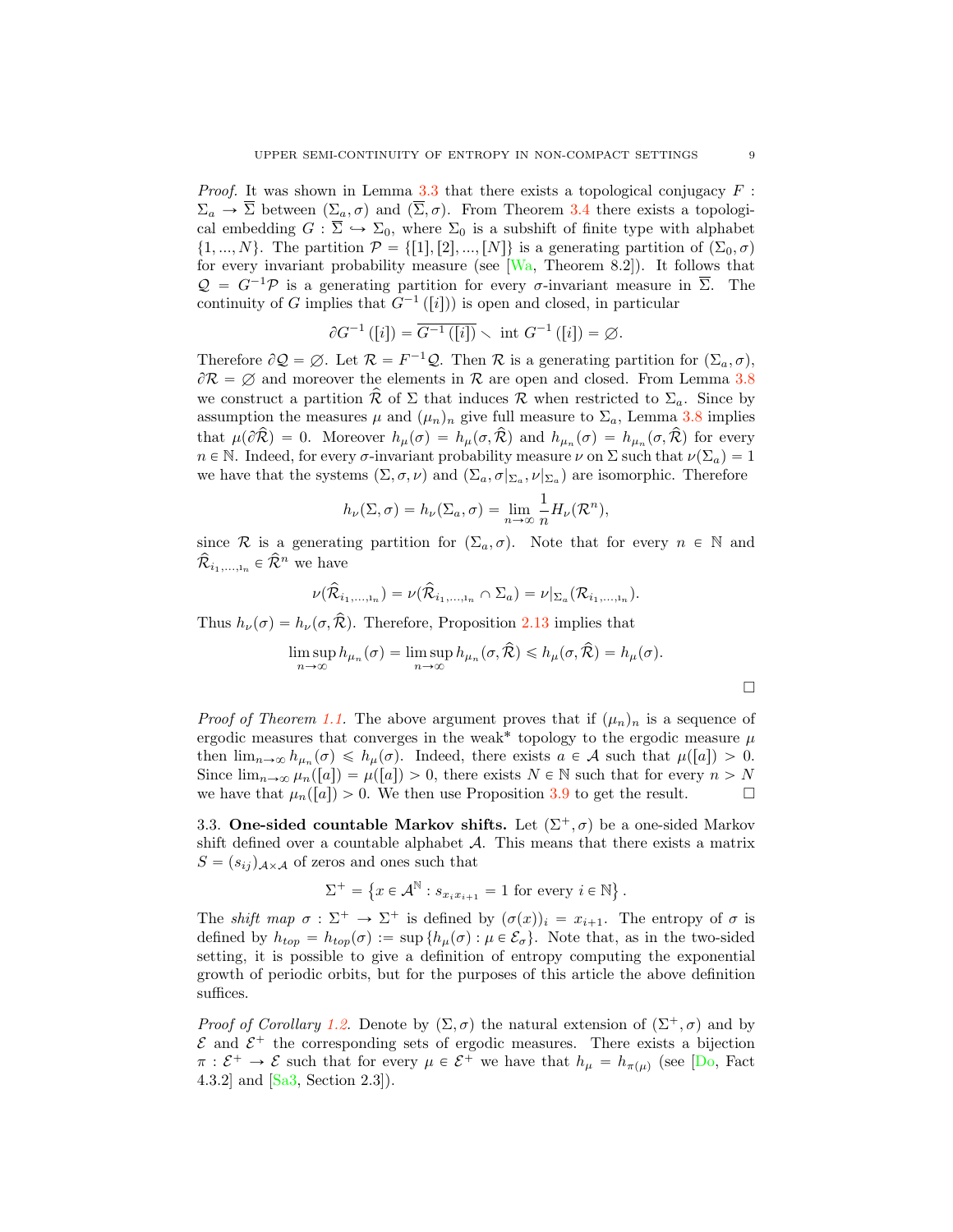*Proof.* It was shown in Lemma [3.3](#page-6-1) that there exists a topological conjugacy  $F$ :  $\Sigma_a \to \overline{\Sigma}$  between  $(\Sigma_a, \sigma)$  and  $(\overline{\Sigma}, \sigma)$ . From Theorem [3.4](#page-6-2) there exists a topological embedding  $G : \overline{\Sigma} \hookrightarrow \Sigma_0$ , where  $\Sigma_0$  is a subshift of finite type with alphabet  $\{1, ..., N\}$ . The partition  $\mathcal{P} = \{[1], [2], ..., [N]\}$  is a generating partition of  $(\Sigma_0, \sigma)$ for every invariant probability measure (see [\[Wa,](#page-14-1) Theorem 8.2]). It follows that  $Q = G^{-1}P$  is a generating partition for every  $\sigma$ -invariant measure in  $\overline{\Sigma}$ . The continuity of G implies that  $G^{-1}([i])$  is open and closed, in particular

$$
\partial G^{-1}([i]) = \overline{G^{-1}([i])} \setminus \text{ int } G^{-1}([i]) = \emptyset.
$$

Therefore  $\partial \mathcal{Q} = \emptyset$ . Let  $\mathcal{R} = F^{-1} \mathcal{Q}$ . Then  $\mathcal{R}$  is a generating partition for  $(\Sigma_a, \sigma)$ ,  $\partial \mathcal{R} = \emptyset$  and moreover the elements in  $\mathcal{R}$  are open and closed. From Lemma [3.8](#page-7-3) we construct a partition  $\mathcal R$  of  $\Sigma$  that induces  $\mathcal R$  when restricted to  $\Sigma_a$ . Since by assumption the measures  $\mu$  and  $(\mu_n)_n$  give full measure to  $\Sigma_a$ , Lemma [3.8](#page-7-3) implies that  $\mu(\partial \hat{R}) = 0$ . Moreover  $h_{\mu}(\sigma) = h_{\mu}(\sigma, \hat{R})$  and  $h_{\mu_n}(\sigma) = h_{\mu_n}(\sigma, \hat{R})$  for every  $n \in \mathbb{N}$ . Indeed, for every σ-invariant probability measure  $\nu$  on  $\Sigma$  such that  $\nu(\Sigma_a) = 1$ we have that the systems  $(\Sigma, \sigma, \nu)$  and  $(\Sigma_a, \sigma|_{\Sigma_a}, \nu|_{\Sigma_a})$  are isomorphic. Therefore

$$
h_{\nu}(\Sigma, \sigma) = h_{\nu}(\Sigma_a, \sigma) = \lim_{n \to \infty} \frac{1}{n} H_{\nu}(\mathcal{R}^n),
$$

since R is a generating partition for  $(\Sigma_a, \sigma)$ . Note that for every  $n \in \mathbb{N}$  and  $\hat{\mathcal{R}}_{i_1,\ldots,i_n} \in \hat{\mathcal{R}}^n$  we have

$$
\nu(\widehat{\mathcal{R}}_{i_1,\ldots,i_n})=\nu(\widehat{\mathcal{R}}_{i_1,\ldots,i_n}\cap\Sigma_a)=\nu|_{\Sigma_a}(\mathcal{R}_{i_1,\ldots,i_n}).
$$

Thus  $h_{\nu}(\sigma) = h_{\nu}(\sigma, \hat{\mathcal{R}})$ . Therefore, Proposition [2.13](#page-4-1) implies that

$$
\limsup_{n \to \infty} h_{\mu_n}(\sigma) = \limsup_{n \to \infty} h_{\mu_n}(\sigma, \hat{\mathcal{R}}) \leq h_{\mu}(\sigma, \hat{\mathcal{R}}) = h_{\mu}(\sigma).
$$

*Proof of Theorem [1.1.](#page-1-0)* The above argument proves that if  $(\mu_n)_n$  is a sequence of ergodic measures that converges in the weak\* topology to the ergodic measure  $\mu$ then  $\lim_{n\to\infty} h_{\mu_n}(\sigma) \leq h_{\mu}(\sigma)$ . Indeed, there exists  $a \in \mathcal{A}$  such that  $\mu([a]) > 0$ . Since  $\lim_{n\to\infty} \mu_n([a]) = \mu([a]) > 0$ , there exists  $N \in \mathbb{N}$  such that for every  $n > N$  we have that  $\mu_n([a]) > 0$ . We then use Proposition 3.9 to get the result. we have that  $\mu_n([a]) > 0$ . We then use Proposition [3.9](#page-7-4) to get the result.

3.3. One-sided countable Markov shifts. Let  $(\Sigma^+, \sigma)$  be a one-sided Markov shift defined over a countable alphabet *A*. This means that there exists a matrix  $S = (s_{ij})_{A \times A}$  of zeros and ones such that

$$
\Sigma^+ = \left\{ x \in \mathcal{A}^{\mathbb{N}} : s_{x_i x_{i+1}} = 1 \text{ for every } i \in \mathbb{N} \right\}.
$$

The *shift map*  $\sigma : \Sigma^+ \to \Sigma^+$  is defined by  $(\sigma(x))_i = x_{i+1}$ . The entropy of  $\sigma$  is defined by  $h_{top} = h_{top}(\sigma) := \sup \{ h_{\mu}(\sigma) : \mu \in \mathcal{E}_{\sigma} \}.$  Note that, as in the two-sided setting, it is possible to give a definition of entropy computing the exponential growth of periodic orbits, but for the purposes of this article the above definition suffices.

*Proof of Corollary [1.2.](#page-1-1)* Denote by  $(\Sigma, \sigma)$  the natural extension of  $(\Sigma^+, \sigma)$  and by  $\mathcal E$  and  $\mathcal E^+$  the corresponding sets of ergodic measures. There exists a bijection  $\pi : \mathcal{E}^+ \to \mathcal{E}$  such that for every  $\mu \in \mathcal{E}^+$  we have that  $h_{\mu} = h_{\pi(\mu)}$  (see [\[Do,](#page-13-9) Fact 4.3.2] and [\[Sa3,](#page-14-18) Section 2.3]).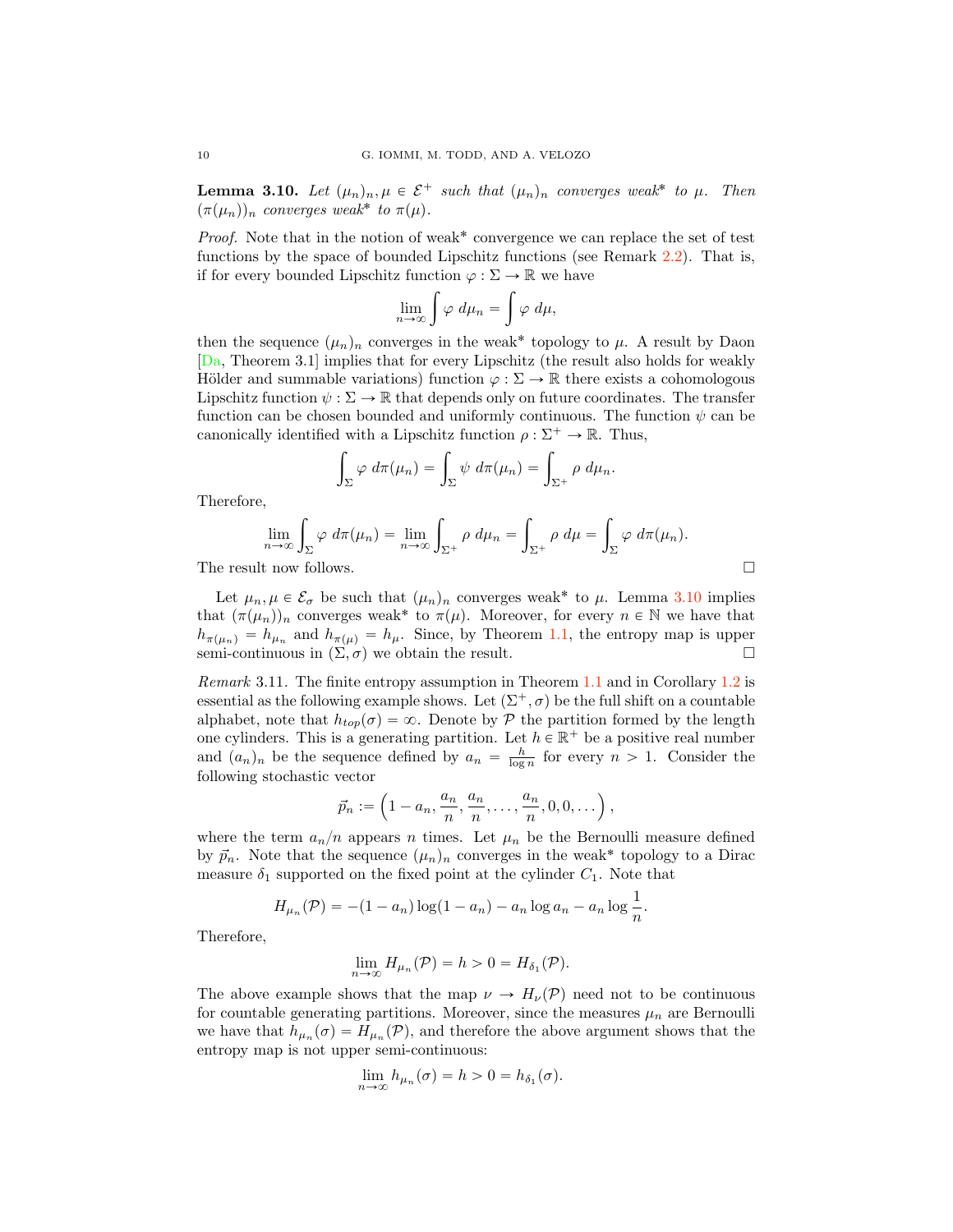<span id="page-9-1"></span>**Lemma 3.10.** Let  $(\mu_n)_n, \mu \in \mathcal{E}^+$  *such that*  $(\mu_n)_n$  *converges weak*<sup>\*</sup> *to*  $\mu$ *. Then*  $(\pi(\mu_n))_n$  *converges weak*<sup>\*</sup> *to*  $\pi(\mu)$ *.* 

*Proof.* Note that in the notion of weak<sup>\*</sup> convergence we can replace the set of test functions by the space of bounded Lipschitz functions (see Remark [2.2\)](#page-2-1). That is, if for every bounded Lipschitz function  $\varphi : \Sigma \to \mathbb{R}$  we have

$$
\lim_{n\to\infty}\int\varphi\ d\mu_n=\int\varphi\ d\mu,
$$

then the sequence  $(\mu_n)_n$  converges in the weak<sup>\*</sup> topology to  $\mu$ . A result by Daon [\[Da,](#page-13-16) Theorem 3.1] implies that for every Lipschitz (the result also holds for weakly Hölder and summable variations) function  $\varphi : \Sigma \to \mathbb{R}$  there exists a cohomologous Lipschitz function  $\psi : \Sigma \to \mathbb{R}$  that depends only on future coordinates. The transfer function can be chosen bounded and uniformly continuous. The function  $\psi$  can be canonically identified with a Lipschitz function  $\rho : \Sigma^+ \to \mathbb{R}$ . Thus,

$$
\int_{\Sigma} \varphi \, d\pi(\mu_n) = \int_{\Sigma} \psi \, d\pi(\mu_n) = \int_{\Sigma^+} \rho \, d\mu_n.
$$

Therefore,

$$
\lim_{n \to \infty} \int_{\Sigma} \varphi \, d\pi(\mu_n) = \lim_{n \to \infty} \int_{\Sigma^+} \rho \, d\mu_n = \int_{\Sigma^+} \rho \, d\mu = \int_{\Sigma} \varphi \, d\pi(\mu_n).
$$
\nThe result now follows.

Let  $\mu_n, \mu \in \mathcal{E}_{\sigma}$  be such that  $(\mu_n)_n$  converges weak<sup>\*</sup> to  $\mu$ . Lemma [3.10](#page-9-1) implies that  $(\pi(\mu_n))_n$  converges weak<sup>\*</sup> to  $\pi(\mu)$ . Moreover, for every  $n \in \mathbb{N}$  we have that  $h_{\pi(\mu_n)} = h_{\mu_n}$  and  $h_{\pi(\mu)} = h_{\mu}$ . Since, by Theorem [1.1,](#page-1-0) the entropy map is upper semi-continuous in  $(\Sigma, \sigma)$  we obtain the result. semi-continuous in  $(\Sigma, \sigma)$  we obtain the result.

<span id="page-9-0"></span>*Remark* 3.11*.* The finite entropy assumption in Theorem [1.1](#page-1-0) and in Corollary [1.2](#page-1-1) is essential as the following example shows. Let  $(\Sigma^+, \sigma)$  be the full shift on a countable alphabet, note that  $h_{top}(\sigma) = \infty$ . Denote by *P* the partition formed by the length one cylinders. This is a generating partition. Let  $h \in \mathbb{R}^+$  be a positive real number and  $(a_n)_n$  be the sequence defined by  $a_n = \frac{h}{\log n}$  for every  $n > 1$ . Consider the following stochastic vector

$$
\vec{p}_n := \left(1 - a_n, \frac{a_n}{n}, \frac{a_n}{n}, \dots, \frac{a_n}{n}, 0, 0, \dots\right),\,
$$

where the term  $a_n/n$  appears n times. Let  $\mu_n$  be the Bernoulli measure defined by  $\vec{p}_n$ . Note that the sequence  $(\mu_n)_n$  converges in the weak\* topology to a Dirac measure  $\delta_1$  supported on the fixed point at the cylinder  $C_1$ . Note that

$$
H_{\mu_n}(\mathcal{P}) = -(1 - a_n) \log(1 - a_n) - a_n \log a_n - a_n \log \frac{1}{n}.
$$

Therefore,

$$
\lim_{n\to\infty} H_{\mu_n}(\mathcal{P}) = h > 0 = H_{\delta_1}(\mathcal{P}).
$$

The above example shows that the map  $\nu \to H_{\nu}(P)$  need not to be continuous for countable generating partitions. Moreover, since the measures  $\mu_n$  are Bernoulli we have that  $h_{\mu_n}(\sigma) = H_{\mu_n}(\mathcal{P})$ , and therefore the above argument shows that the entropy map is not upper semi-continuous:

$$
\lim_{n \to \infty} h_{\mu_n}(\sigma) = h > 0 = h_{\delta_1}(\sigma).
$$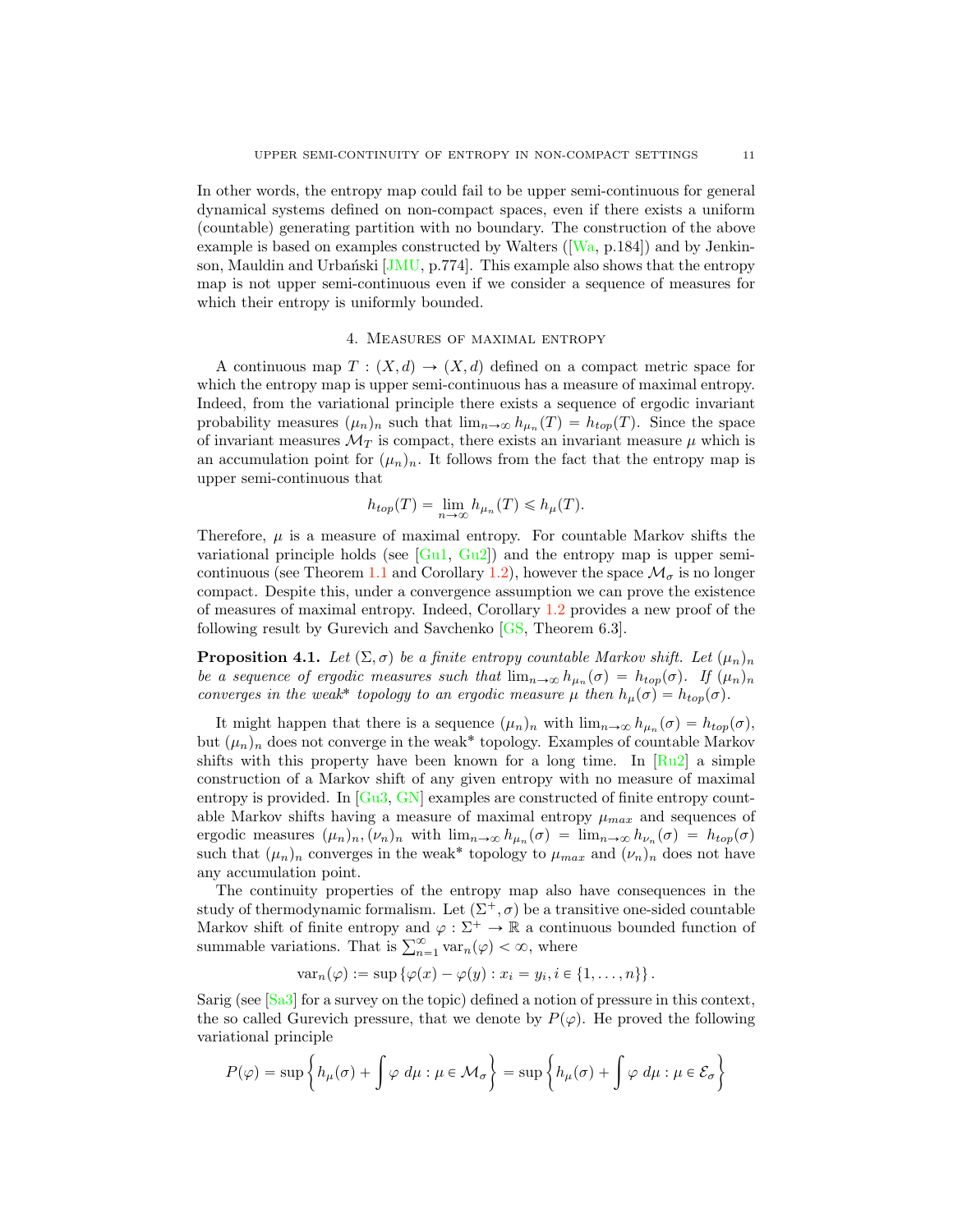In other words, the entropy map could fail to be upper semi-continuous for general dynamical systems defined on non-compact spaces, even if there exists a uniform (countable) generating partition with no boundary. The construction of the above example is based on examples constructed by Walters ([\[Wa,](#page-14-1) p.184]) and by Jenkinson, Mauldin and Urbański  $\overline{JMU}$ , p.774. This example also shows that the entropy map is not upper semi-continuous even if we consider a sequence of measures for which their entropy is uniformly bounded.

## 4. Measures of maximal entropy

<span id="page-10-0"></span>A continuous map  $T : (X, d) \to (X, d)$  defined on a compact metric space for which the entropy map is upper semi-continuous has a measure of maximal entropy. Indeed, from the variational principle there exists a sequence of ergodic invariant probability measures  $(\mu_n)_n$  such that  $\lim_{n\to\infty} h_{\mu_n}(T) = h_{top}(T)$ . Since the space of invariant measures  $\mathcal{M}_T$  is compact, there exists an invariant measure  $\mu$  which is an accumulation point for  $(\mu_n)_n$ . It follows from the fact that the entropy map is upper semi-continuous that

$$
h_{top}(T) = \lim_{n \to \infty} h_{\mu_n}(T) \leq h_{\mu}(T).
$$

Therefore,  $\mu$  is a measure of maximal entropy. For countable Markov shifts the variational principle holds (see  $[G\u1, Gu2]$  $[G\u1, Gu2]$ ) and the entropy map is upper semi-continuous (see Theorem [1.1](#page-1-0) and Corollary [1.2\)](#page-1-1), however the space  $\mathcal{M}_{\sigma}$  is no longer compact. Despite this, under a convergence assumption we can prove the existence of measures of maximal entropy. Indeed, Corollary [1.2](#page-1-1) provides a new proof of the following result by Gurevich and Savchenko [\[GS,](#page-13-17) Theorem 6.3].

**Proposition 4.1.** *Let*  $(\Sigma, \sigma)$  *be a finite entropy countable Markov shift. Let*  $(\mu_n)_n$ *be a sequence of ergodic measures such that*  $\lim_{n\to\infty} h_{\mu_n}(\sigma) = h_{top}(\sigma)$ . If  $(\mu_n)_n$ *converges in the weak*<sup>\*</sup> *topology to an ergodic measure*  $\mu$  *then*  $h_{\mu}(\sigma) = h_{top}(\sigma)$ *.* 

It might happen that there is a sequence  $(\mu_n)_n$  with  $\lim_{n\to\infty} h_{\mu_n}(\sigma) = h_{top}(\sigma)$ , but  $(\mu_n)_n$  does not converge in the weak\* topology. Examples of countable Markov shifts with this property have been known for a long time. In  $\lceil Ru2 \rceil$  a simple construction of a Markov shift of any given entropy with no measure of maximal entropy is provided. In [\[Gu3,](#page-13-18) [GN\]](#page-13-19) examples are constructed of finite entropy countable Markov shifts having a measure of maximal entropy  $\mu_{max}$  and sequences of ergodic measures  $(\mu_n)_n, (\nu_n)_n$  with  $\lim_{n\to\infty} h_{\mu_n}(\sigma) = \lim_{n\to\infty} h_{\nu_n}(\sigma) = h_{top}(\sigma)$ such that  $(\mu_n)_n$  converges in the weak<sup>\*</sup> topology to  $\mu_{max}$  and  $(\nu_n)_n$  does not have any accumulation point.

The continuity properties of the entropy map also have consequences in the study of thermodynamic formalism. Let  $(\Sigma^+, \sigma)$  be a transitive one-sided countable Markov shift of finite entropy and  $\varphi : \Sigma^+ \to \mathbb{R}$  a continuous bounded function of summable variations. That is  $\sum_{n=1}^{\infty} \text{var}_n(\varphi) < \infty$ , where

$$
var_n(\varphi) := \sup \left\{ \varphi(x) - \varphi(y) : x_i = y_i, i \in \{1, \ldots, n\} \right\}.
$$

Sarig (see [\[Sa3\]](#page-14-18) for a survey on the topic) defined a notion of pressure in this context, the so called Gurevich pressure, that we denote by  $P(\varphi)$ . He proved the following variational principle

$$
P(\varphi) = \sup \left\{ h_{\mu}(\sigma) + \int \varphi \, d\mu : \mu \in \mathcal{M}_{\sigma} \right\} = \sup \left\{ h_{\mu}(\sigma) + \int \varphi \, d\mu : \mu \in \mathcal{E}_{\sigma} \right\}
$$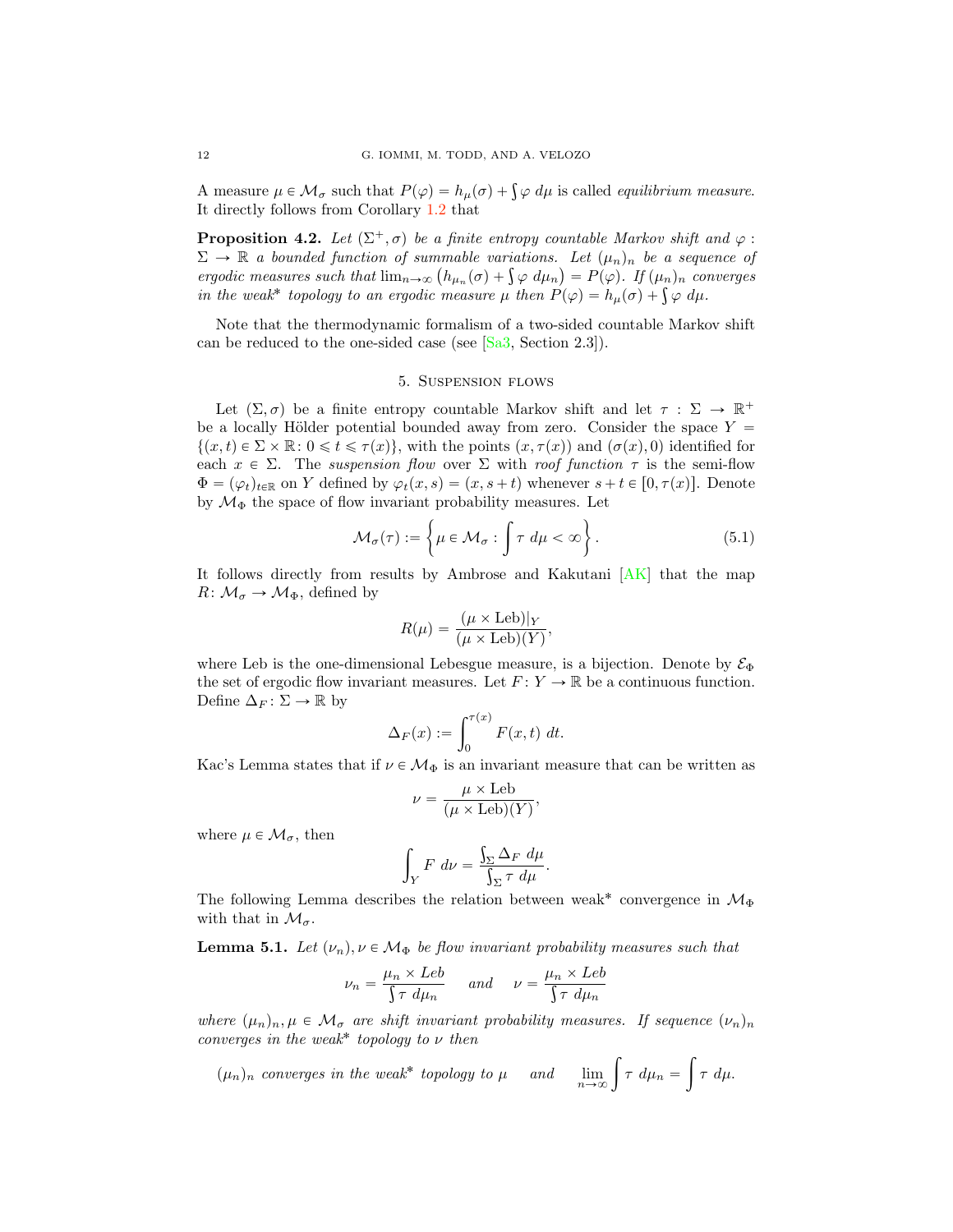A measure  $\mu \in \mathcal{M}_{\sigma}$  such that  $P(\varphi) = h_{\mu}(\sigma) + \int \varphi \ d\mu$  is called *equilibrium measure*. It directly follows from Corollary [1.2](#page-1-1) that

**Proposition 4.2.** *Let*  $(\Sigma^+, \sigma)$  *be a finite entropy countable Markov shift and*  $\varphi$ :  $\Sigma \to \mathbb{R}$  *a bounded function of summable variations. Let*  $(\mu_n)_n$  *be a sequence of ergodic measures such that*  $\lim_{n\to\infty} (h_{\mu_n}(\sigma) + \int \varphi \, d\mu_n) = P(\varphi)$ . If  $(\mu_n)_n$  converges *in the weak*<sup>\*</sup> *topology to an ergodic measure*  $\mu$  *then*  $P(\varphi) = h_{\mu}(\sigma) + \int \varphi \ d\mu$ .

Note that the thermodynamic formalism of a two-sided countable Markov shift can be reduced to the one-sided case (see [\[Sa3,](#page-14-18) Section 2.3]).

#### 5. Suspension flows

<span id="page-11-0"></span>Let  $(\Sigma, \sigma)$  be a finite entropy countable Markov shift and let  $\tau : \Sigma \to \mathbb{R}^+$ be a locally Hölder potential bounded away from zero. Consider the space  $Y =$  $\{(x, t) \in \Sigma \times \mathbb{R} : 0 \leq t \leq \tau(x)\}\$ , with the points  $(x, \tau(x))$  and  $(\sigma(x), 0)$  identified for each  $x \in \Sigma$ . The *suspension flow* over  $\Sigma$  with *roof function*  $\tau$  is the semi-flow  $\Phi = (\varphi_t)_{t \in \mathbb{R}}$  on Y defined by  $\varphi_t(x, s) = (x, s + t)$  whenever  $s + t \in [0, \tau(x)]$ . Denote by  $\mathcal{M}_{\Phi}$  the space of flow invariant probability measures. Let

$$
\mathcal{M}_{\sigma}(\tau) := \left\{ \mu \in \mathcal{M}_{\sigma} : \int \tau \, d\mu < \infty \right\}. \tag{5.1}
$$

It follows directly from results by Ambrose and Kakutani [\[AK\]](#page-13-20) that the map  $R: \mathcal{M}_{\sigma} \to \mathcal{M}_{\Phi}$ , defined by

$$
R(\mu) = \frac{(\mu \times \text{Leb})|_Y}{(\mu \times \text{Leb})(Y)},
$$

where Leb is the one-dimensional Lebesgue measure, is a bijection. Denote by  $\mathcal{E}_{\Phi}$ the set of ergodic flow invariant measures. Let  $F: Y \to \mathbb{R}$  be a continuous function. Define  $\Delta_F : \Sigma \to \mathbb{R}$  by

$$
\Delta_F(x) := \int_0^{\tau(x)} F(x, t) dt.
$$

Kac's Lemma states that if  $\nu\in\mathcal{M}_{\Phi}$  is an invariant measure that can be written as

$$
\nu = \frac{\mu \times \text{Leb}}{(\mu \times \text{Leb})(Y)},
$$

where  $\mu \in \mathcal{M}_{\sigma}$ , then

$$
\int_Y F \, d\nu = \frac{\int_{\Sigma} \Delta_F \, d\mu}{\int_{\Sigma} \tau \, d\mu}.
$$

The following Lemma describes the relation between weak<sup>\*</sup> convergence in  $\mathcal{M}_{\Phi}$ with that in  $\mathcal{M}_{\sigma}$ .

<span id="page-11-1"></span>**Lemma 5.1.** Let  $(\nu_n), \nu \in \mathcal{M}_{\Phi}$  be flow invariant probability measures such that

$$
\nu_n = \frac{\mu_n \times Leb}{\int \tau \ d\mu_n} \quad \text{and} \quad \nu = \frac{\mu_n \times Leb}{\int \tau \ d\mu_n}
$$

*where*  $(\mu_n)_n, \mu \in \mathcal{M}_{\sigma}$  *are shift invariant probability measures. If sequence*  $(\nu_n)_n$ *converges in the weak*˚ *topology to* ν *then*

$$
(\mu_n)_n \text{ converges in the weak* topology to } \mu \text{ and } \lim_{n \to \infty} \int \tau \, d\mu_n = \int \tau \, d\mu.
$$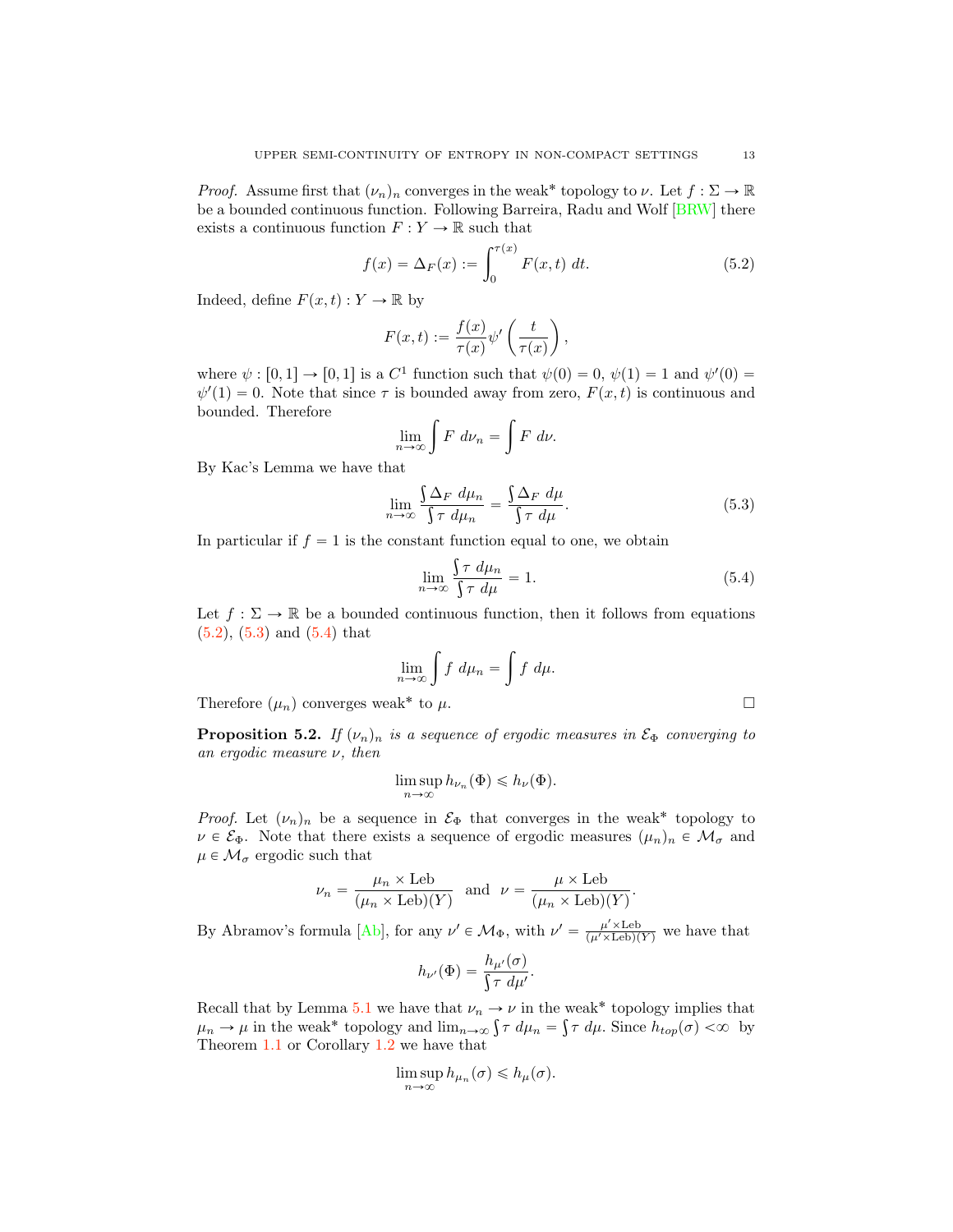*Proof.* Assume first that  $(\nu_n)_n$  converges in the weak<sup>\*</sup> topology to  $\nu$ . Let  $f : \Sigma \to \mathbb{R}$ be a bounded continuous function. Following Barreira, Radu and Wolf [\[BRW\]](#page-13-21) there exists a continuous function  $F:Y\rightarrow \mathbb{R}$  such that

<span id="page-12-0"></span>
$$
f(x) = \Delta_F(x) := \int_0^{\tau(x)} F(x, t) dt.
$$
 (5.2)

Indeed, define  $F(x, t) : Y \to \mathbb{R}$  by

$$
F(x,t) := \frac{f(x)}{\tau(x)} \psi' \left( \frac{t}{\tau(x)} \right),\,
$$

where  $\psi : [0, 1] \to [0, 1]$  is a  $C^1$  function such that  $\psi(0) = 0$ ,  $\psi(1) = 1$  and  $\psi'(0) =$  $\psi'(1) = 0$ . Note that since  $\tau$  is bounded away from zero,  $F(x, t)$  is continuous and bounded. Therefore

$$
\lim_{n \to \infty} \int F \, d\nu_n = \int F \, d\nu.
$$

By Kac's Lemma we have that

<span id="page-12-1"></span>
$$
\lim_{n \to \infty} \frac{\int \Delta_F \, d\mu_n}{\int \tau \, d\mu_n} = \frac{\int \Delta_F \, d\mu}{\int \tau \, d\mu}.
$$
\n(5.3)

In particular if  $f = 1$  is the constant function equal to one, we obtain

<span id="page-12-2"></span>
$$
\lim_{n \to \infty} \frac{\int \tau \, d\mu_n}{\int \tau \, d\mu} = 1. \tag{5.4}
$$

Let  $f : \Sigma \to \mathbb{R}$  be a bounded continuous function, then it follows from equations  $(5.2), (5.3)$  $(5.2), (5.3)$  $(5.2), (5.3)$  and  $(5.4)$  that

$$
\lim_{n \to \infty} \int f \, d\mu_n = \int f \, d\mu.
$$

Therefore  $(\mu_n)$  converges weak<sup>\*</sup> to  $\mu$ .  $\Box$ 

**Proposition 5.2.** *If*  $(\nu_n)_n$  *is a sequence of ergodic measures in*  $\mathcal{E}_{\Phi}$  *converging to an ergodic measure* ν*, then*

$$
\limsup_{n \to \infty} h_{\nu_n}(\Phi) \leq h_{\nu}(\Phi).
$$

*Proof.* Let  $(\nu_n)_n$  be a sequence in  $\mathcal{E}_{\Phi}$  that converges in the weak<sup>\*</sup> topology to  $\nu \in \mathcal{E}_{\Phi}$ . Note that there exists a sequence of ergodic measures  $(\mu_n)_n \in \mathcal{M}_{\sigma}$  and  $\mu \in \mathcal{M}_{\sigma}$  ergodic such that

$$
\nu_n = \frac{\mu_n \times \text{Leb}}{(\mu_n \times \text{Leb})(Y)} \text{ and } \nu = \frac{\mu \times \text{Leb}}{(\mu_n \times \text{Leb})(Y)}.
$$

By Abramov's formula [\[Ab\]](#page-13-22), for any  $\nu' \in \mathcal{M}_{\Phi}$ , with  $\nu' = \frac{\mu' \times \text{Leb}}{(\mu' \times \text{Leb})(Y)}$  we have that

$$
h_{\nu'}(\Phi) = \frac{h_{\mu'}(\sigma)}{\int \tau \, d\mu'}.
$$

Recall that by Lemma [5.1](#page-11-1) we have that  $\nu_n \to \nu$  in the weak<sup>\*</sup> topology implies that  $\mu_n \to \mu$  in the weak\* topology and  $\lim_{n \to \infty} \int \tau \, d\mu_n = \int \tau \, d\mu$ . Since  $h_{top}(\sigma) < \infty$  by Theorem [1.1](#page-1-0) or Corollary [1.2](#page-1-1) we have that

$$
\limsup_{n\to\infty} h_{\mu_n}(\sigma) \leq h_{\mu}(\sigma).
$$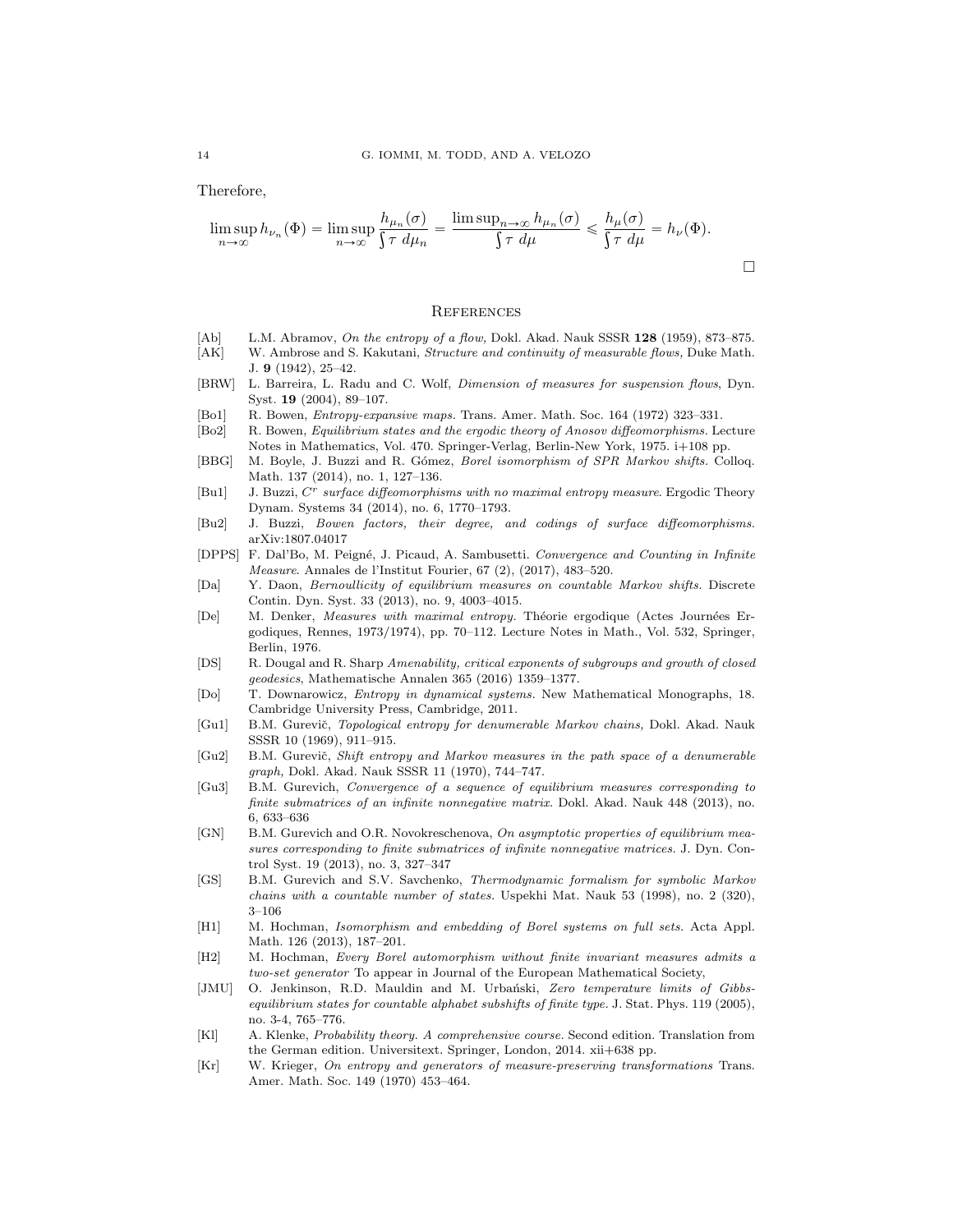Therefore,

$$
\limsup_{n \to \infty} h_{\nu_n}(\Phi) = \limsup_{n \to \infty} \frac{h_{\mu_n}(\sigma)}{\int \tau \, d\mu_n} = \frac{\limsup_{n \to \infty} h_{\mu_n}(\sigma)}{\int \tau \, d\mu} \le \frac{h_{\mu}(\sigma)}{\int \tau \, d\mu} = h_{\nu}(\Phi).
$$

## **REFERENCES**

- <span id="page-13-22"></span>[Ab] L.M. Abramov, On the entropy of a flow, Dokl. Akad. Nauk SSSR 128 (1959), 873-875.
- <span id="page-13-20"></span>[AK] W. Ambrose and S. Kakutani, Structure and continuity of measurable flows, Duke Math. J. 9 (1942), 25–42.
- <span id="page-13-21"></span>[BRW] L. Barreira, L. Radu and C. Wolf, Dimension of measures for suspension flows, Dyn. Syst. 19 (2004), 89–107.
- <span id="page-13-0"></span>[Bo1] R. Bowen, Entropy-expansive maps. Trans. Amer. Math. Soc. 164 (1972) 323–331.
- <span id="page-13-2"></span>[Bo2] R. Bowen, Equilibrium states and the ergodic theory of Anosov diffeomorphisms. Lecture Notes in Mathematics, Vol. 470. Springer-Verlag, Berlin-New York, 1975. i+108 pp.
- <span id="page-13-15"></span>[BBG] M. Boyle, J. Buzzi and R. Gómez, Borel isomorphism of SPR Markov shifts. Colloq. Math. 137 (2014), no. 1, 127–136.
- <span id="page-13-7"></span>[Bu1] J. Buzzi, *C<sup>r</sup>* surface diffeomorphisms with no maximal entropy measure. Ergodic Theory Dynam. Systems 34 (2014), no. 6, 1770–1793.
- <span id="page-13-3"></span>[Bu2] J. Buzzi, Bowen factors, their degree, and codings of surface diffeomorphisms. arXiv:1807.04017
- <span id="page-13-8"></span>[DPPS] F. Dal'Bo, M. Peigné, J. Picaud, A. Sambusetti. Convergence and Counting in Infinite Measure. Annales de l'Institut Fourier, 67 (2), (2017), 483–520.
- <span id="page-13-16"></span>[Da] Y. Daon, Bernoullicity of equilibrium measures on countable Markov shifts. Discrete Contin. Dyn. Syst. 33 (2013), no. 9, 4003–4015.
- <span id="page-13-1"></span>[De] M. Denker, *Measures with maximal entropy*. Théorie ergodique (Actes Journées Ergodiques, Rennes, 1973/1974), pp. 70–112. Lecture Notes in Math., Vol. 532, Springer, Berlin, 1976.
- <span id="page-13-14"></span>[DS] R. Dougal and R. Sharp Amenability, critical exponents of subgroups and growth of closed geodesics, Mathematische Annalen 365 (2016) 1359–1377.
- <span id="page-13-9"></span>[Do] T. Downarowicz, Entropy in dynamical systems. New Mathematical Monographs, 18. Cambridge University Press, Cambridge, 2011.
- <span id="page-13-12"></span>[Gu1] B.M. Gurevič, Topological entropy for denumerable Markov chains, Dokl. Akad. Nauk SSSR 10 (1969), 911–915.
- <span id="page-13-13"></span>[Gu2] B.M. Gurevič, Shift entropy and Markov measures in the path space of a denumerable graph, Dokl. Akad. Nauk SSSR 11 (1970), 744–747.
- <span id="page-13-18"></span>[Gu3] B.M. Gurevich, Convergence of a sequence of equilibrium measures corresponding to finite submatrices of an infinite nonnegative matrix. Dokl. Akad. Nauk 448 (2013), no. 6, 633–636
- <span id="page-13-19"></span>[GN] B.M. Gurevich and O.R. Novokreschenova, On asymptotic properties of equilibrium measures corresponding to finite submatrices of infinite nonnegative matrices. J. Dyn. Control Syst. 19 (2013), no. 3, 327–347
- <span id="page-13-17"></span>[GS] B.M. Gurevich and S.V. Savchenko, Thermodynamic formalism for symbolic Markov chains with a countable number of states. Uspekhi Mat. Nauk 53 (1998), no. 2 (320), 3–106
- <span id="page-13-5"></span>[H1] M. Hochman, Isomorphism and embedding of Borel systems on full sets. Acta Appl. Math. 126 (2013), 187–201.
- <span id="page-13-6"></span>[H2] M. Hochman, Every Borel automorphism without finite invariant measures admits a two-set generator To appear in Journal of the European Mathematical Society,
- <span id="page-13-11"></span>[JMU] O. Jenkinson, R.D. Mauldin and M. Urbański, Zero temperature limits of Gibbsequilibrium states for countable alphabet subshifts of finite type. J. Stat. Phys. 119 (2005), no. 3-4, 765–776.
- <span id="page-13-10"></span>[Kl] A. Klenke, Probability theory. A comprehensive course. Second edition. Translation from the German edition. Universitext. Springer, London, 2014. xii+638 pp.
- <span id="page-13-4"></span>[Kr] W. Krieger, On entropy and generators of measure-preserving transformations Trans. Amer. Math. Soc. 149 (1970) 453–464.